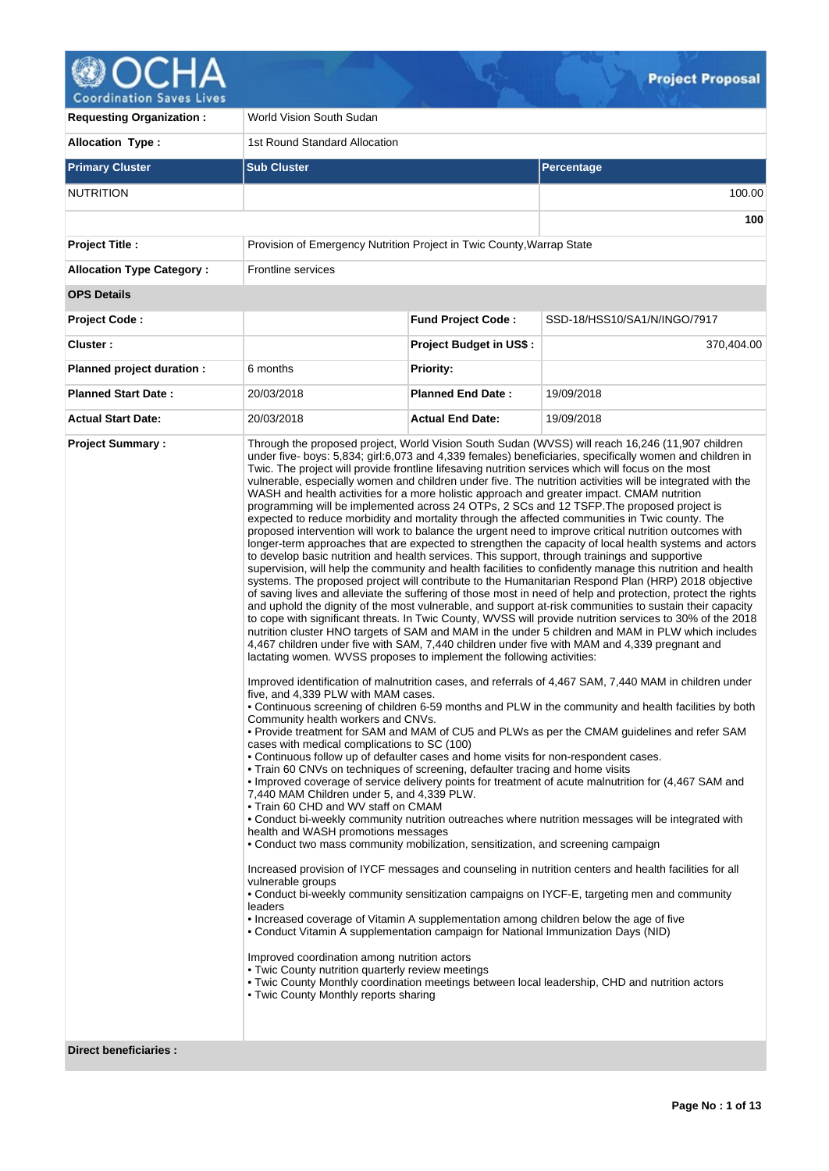

| <b>Requesting Organization:</b>                         | World Vision South Sudan                                                                                                                                                                                                                                                                                                                                                                                                                                                                                                                                                                                                                                                                                                                                                                                                                                                                                                                                |                                |                                                                                                                                                                                                                                                                                                                                                                                                                                                                                                                                                                                                                                                                                                                                                                                                                                                                                                                                                                                                                                                                                                                                                                                                                                                                                                                                                                                                                                                                                                                                                                                                                                                                                                                                                                                                                                                                                                                                                                                                                                                                                                                                                                                                                                                                                                                                                                                                                                                                                                                                                                                                                                                                            |  |  |  |
|---------------------------------------------------------|---------------------------------------------------------------------------------------------------------------------------------------------------------------------------------------------------------------------------------------------------------------------------------------------------------------------------------------------------------------------------------------------------------------------------------------------------------------------------------------------------------------------------------------------------------------------------------------------------------------------------------------------------------------------------------------------------------------------------------------------------------------------------------------------------------------------------------------------------------------------------------------------------------------------------------------------------------|--------------------------------|----------------------------------------------------------------------------------------------------------------------------------------------------------------------------------------------------------------------------------------------------------------------------------------------------------------------------------------------------------------------------------------------------------------------------------------------------------------------------------------------------------------------------------------------------------------------------------------------------------------------------------------------------------------------------------------------------------------------------------------------------------------------------------------------------------------------------------------------------------------------------------------------------------------------------------------------------------------------------------------------------------------------------------------------------------------------------------------------------------------------------------------------------------------------------------------------------------------------------------------------------------------------------------------------------------------------------------------------------------------------------------------------------------------------------------------------------------------------------------------------------------------------------------------------------------------------------------------------------------------------------------------------------------------------------------------------------------------------------------------------------------------------------------------------------------------------------------------------------------------------------------------------------------------------------------------------------------------------------------------------------------------------------------------------------------------------------------------------------------------------------------------------------------------------------------------------------------------------------------------------------------------------------------------------------------------------------------------------------------------------------------------------------------------------------------------------------------------------------------------------------------------------------------------------------------------------------------------------------------------------------------------------------------------------------|--|--|--|
| <b>Allocation Type:</b>                                 | 1st Round Standard Allocation                                                                                                                                                                                                                                                                                                                                                                                                                                                                                                                                                                                                                                                                                                                                                                                                                                                                                                                           |                                |                                                                                                                                                                                                                                                                                                                                                                                                                                                                                                                                                                                                                                                                                                                                                                                                                                                                                                                                                                                                                                                                                                                                                                                                                                                                                                                                                                                                                                                                                                                                                                                                                                                                                                                                                                                                                                                                                                                                                                                                                                                                                                                                                                                                                                                                                                                                                                                                                                                                                                                                                                                                                                                                            |  |  |  |
| <b>Primary Cluster</b>                                  | <b>Sub Cluster</b>                                                                                                                                                                                                                                                                                                                                                                                                                                                                                                                                                                                                                                                                                                                                                                                                                                                                                                                                      |                                | Percentage                                                                                                                                                                                                                                                                                                                                                                                                                                                                                                                                                                                                                                                                                                                                                                                                                                                                                                                                                                                                                                                                                                                                                                                                                                                                                                                                                                                                                                                                                                                                                                                                                                                                                                                                                                                                                                                                                                                                                                                                                                                                                                                                                                                                                                                                                                                                                                                                                                                                                                                                                                                                                                                                 |  |  |  |
| <b>NUTRITION</b>                                        |                                                                                                                                                                                                                                                                                                                                                                                                                                                                                                                                                                                                                                                                                                                                                                                                                                                                                                                                                         |                                | 100.00                                                                                                                                                                                                                                                                                                                                                                                                                                                                                                                                                                                                                                                                                                                                                                                                                                                                                                                                                                                                                                                                                                                                                                                                                                                                                                                                                                                                                                                                                                                                                                                                                                                                                                                                                                                                                                                                                                                                                                                                                                                                                                                                                                                                                                                                                                                                                                                                                                                                                                                                                                                                                                                                     |  |  |  |
|                                                         |                                                                                                                                                                                                                                                                                                                                                                                                                                                                                                                                                                                                                                                                                                                                                                                                                                                                                                                                                         |                                | 100                                                                                                                                                                                                                                                                                                                                                                                                                                                                                                                                                                                                                                                                                                                                                                                                                                                                                                                                                                                                                                                                                                                                                                                                                                                                                                                                                                                                                                                                                                                                                                                                                                                                                                                                                                                                                                                                                                                                                                                                                                                                                                                                                                                                                                                                                                                                                                                                                                                                                                                                                                                                                                                                        |  |  |  |
| <b>Project Title:</b>                                   | Provision of Emergency Nutrition Project in Twic County, Warrap State                                                                                                                                                                                                                                                                                                                                                                                                                                                                                                                                                                                                                                                                                                                                                                                                                                                                                   |                                |                                                                                                                                                                                                                                                                                                                                                                                                                                                                                                                                                                                                                                                                                                                                                                                                                                                                                                                                                                                                                                                                                                                                                                                                                                                                                                                                                                                                                                                                                                                                                                                                                                                                                                                                                                                                                                                                                                                                                                                                                                                                                                                                                                                                                                                                                                                                                                                                                                                                                                                                                                                                                                                                            |  |  |  |
| <b>Allocation Type Category:</b>                        | <b>Frontline services</b>                                                                                                                                                                                                                                                                                                                                                                                                                                                                                                                                                                                                                                                                                                                                                                                                                                                                                                                               |                                |                                                                                                                                                                                                                                                                                                                                                                                                                                                                                                                                                                                                                                                                                                                                                                                                                                                                                                                                                                                                                                                                                                                                                                                                                                                                                                                                                                                                                                                                                                                                                                                                                                                                                                                                                                                                                                                                                                                                                                                                                                                                                                                                                                                                                                                                                                                                                                                                                                                                                                                                                                                                                                                                            |  |  |  |
| <b>OPS Details</b>                                      |                                                                                                                                                                                                                                                                                                                                                                                                                                                                                                                                                                                                                                                                                                                                                                                                                                                                                                                                                         |                                |                                                                                                                                                                                                                                                                                                                                                                                                                                                                                                                                                                                                                                                                                                                                                                                                                                                                                                                                                                                                                                                                                                                                                                                                                                                                                                                                                                                                                                                                                                                                                                                                                                                                                                                                                                                                                                                                                                                                                                                                                                                                                                                                                                                                                                                                                                                                                                                                                                                                                                                                                                                                                                                                            |  |  |  |
| <b>Project Code:</b>                                    |                                                                                                                                                                                                                                                                                                                                                                                                                                                                                                                                                                                                                                                                                                                                                                                                                                                                                                                                                         | <b>Fund Project Code:</b>      | SSD-18/HSS10/SA1/N/INGO/7917                                                                                                                                                                                                                                                                                                                                                                                                                                                                                                                                                                                                                                                                                                                                                                                                                                                                                                                                                                                                                                                                                                                                                                                                                                                                                                                                                                                                                                                                                                                                                                                                                                                                                                                                                                                                                                                                                                                                                                                                                                                                                                                                                                                                                                                                                                                                                                                                                                                                                                                                                                                                                                               |  |  |  |
| Cluster:                                                |                                                                                                                                                                                                                                                                                                                                                                                                                                                                                                                                                                                                                                                                                                                                                                                                                                                                                                                                                         | <b>Project Budget in US\$:</b> | 370,404.00                                                                                                                                                                                                                                                                                                                                                                                                                                                                                                                                                                                                                                                                                                                                                                                                                                                                                                                                                                                                                                                                                                                                                                                                                                                                                                                                                                                                                                                                                                                                                                                                                                                                                                                                                                                                                                                                                                                                                                                                                                                                                                                                                                                                                                                                                                                                                                                                                                                                                                                                                                                                                                                                 |  |  |  |
| Planned project duration :                              | 6 months                                                                                                                                                                                                                                                                                                                                                                                                                                                                                                                                                                                                                                                                                                                                                                                                                                                                                                                                                | <b>Priority:</b>               |                                                                                                                                                                                                                                                                                                                                                                                                                                                                                                                                                                                                                                                                                                                                                                                                                                                                                                                                                                                                                                                                                                                                                                                                                                                                                                                                                                                                                                                                                                                                                                                                                                                                                                                                                                                                                                                                                                                                                                                                                                                                                                                                                                                                                                                                                                                                                                                                                                                                                                                                                                                                                                                                            |  |  |  |
| <b>Planned Start Date:</b>                              | 20/03/2018                                                                                                                                                                                                                                                                                                                                                                                                                                                                                                                                                                                                                                                                                                                                                                                                                                                                                                                                              | <b>Planned End Date:</b>       | 19/09/2018                                                                                                                                                                                                                                                                                                                                                                                                                                                                                                                                                                                                                                                                                                                                                                                                                                                                                                                                                                                                                                                                                                                                                                                                                                                                                                                                                                                                                                                                                                                                                                                                                                                                                                                                                                                                                                                                                                                                                                                                                                                                                                                                                                                                                                                                                                                                                                                                                                                                                                                                                                                                                                                                 |  |  |  |
| <b>Actual Start Date:</b>                               | 20/03/2018                                                                                                                                                                                                                                                                                                                                                                                                                                                                                                                                                                                                                                                                                                                                                                                                                                                                                                                                              | <b>Actual End Date:</b>        | 19/09/2018                                                                                                                                                                                                                                                                                                                                                                                                                                                                                                                                                                                                                                                                                                                                                                                                                                                                                                                                                                                                                                                                                                                                                                                                                                                                                                                                                                                                                                                                                                                                                                                                                                                                                                                                                                                                                                                                                                                                                                                                                                                                                                                                                                                                                                                                                                                                                                                                                                                                                                                                                                                                                                                                 |  |  |  |
| <b>Project Summary:</b><br><b>Direct beneficiaries:</b> | lactating women. WVSS proposes to implement the following activities:<br>five, and 4,339 PLW with MAM cases.<br>Community health workers and CNVs.<br>cases with medical complications to SC (100)<br>• Continuous follow up of defaulter cases and home visits for non-respondent cases.<br>• Train 60 CNVs on techniques of screening, defaulter tracing and home visits<br>7,440 MAM Children under 5, and 4,339 PLW.<br>• Train 60 CHD and WV staff on CMAM<br>health and WASH promotions messages<br>• Conduct two mass community mobilization, sensitization, and screening campaign<br>vulnerable groups<br>leaders<br>• Increased coverage of Vitamin A supplementation among children below the age of five<br>• Conduct Vitamin A supplementation campaign for National Immunization Days (NID)<br>Improved coordination among nutrition actors<br>• Twic County nutrition quarterly review meetings<br>• Twic County Monthly reports sharing |                                | Through the proposed project, World Vision South Sudan (WVSS) will reach 16,246 (11,907 children<br>under five- boys: 5,834; girl:6,073 and 4,339 females) beneficiaries, specifically women and children in<br>Twic. The project will provide frontline lifesaving nutrition services which will focus on the most<br>vulnerable, especially women and children under five. The nutrition activities will be integrated with the<br>WASH and health activities for a more holistic approach and greater impact. CMAM nutrition<br>programming will be implemented across 24 OTPs, 2 SCs and 12 TSFP. The proposed project is<br>expected to reduce morbidity and mortality through the affected communities in Twic county. The<br>proposed intervention will work to balance the urgent need to improve critical nutrition outcomes with<br>longer-term approaches that are expected to strengthen the capacity of local health systems and actors<br>to develop basic nutrition and health services. This support, through trainings and supportive<br>supervision, will help the community and health facilities to confidently manage this nutrition and health<br>systems. The proposed project will contribute to the Humanitarian Respond Plan (HRP) 2018 objective<br>of saving lives and alleviate the suffering of those most in need of help and protection, protect the rights<br>and uphold the dignity of the most vulnerable, and support at-risk communities to sustain their capacity<br>to cope with significant threats. In Twic County, WVSS will provide nutrition services to 30% of the 2018<br>nutrition cluster HNO targets of SAM and MAM in the under 5 children and MAM in PLW which includes<br>4,467 children under five with SAM, 7,440 children under five with MAM and 4,339 pregnant and<br>Improved identification of malnutrition cases, and referrals of 4,467 SAM, 7,440 MAM in children under<br>• Continuous screening of children 6-59 months and PLW in the community and health facilities by both<br>. Provide treatment for SAM and MAM of CU5 and PLWs as per the CMAM guidelines and refer SAM<br>• Improved coverage of service delivery points for treatment of acute malnutrition for (4,467 SAM and<br>• Conduct bi-weekly community nutrition outreaches where nutrition messages will be integrated with<br>Increased provision of IYCF messages and counseling in nutrition centers and health facilities for all<br>• Conduct bi-weekly community sensitization campaigns on IYCF-E, targeting men and community<br>. Twic County Monthly coordination meetings between local leadership, CHD and nutrition actors |  |  |  |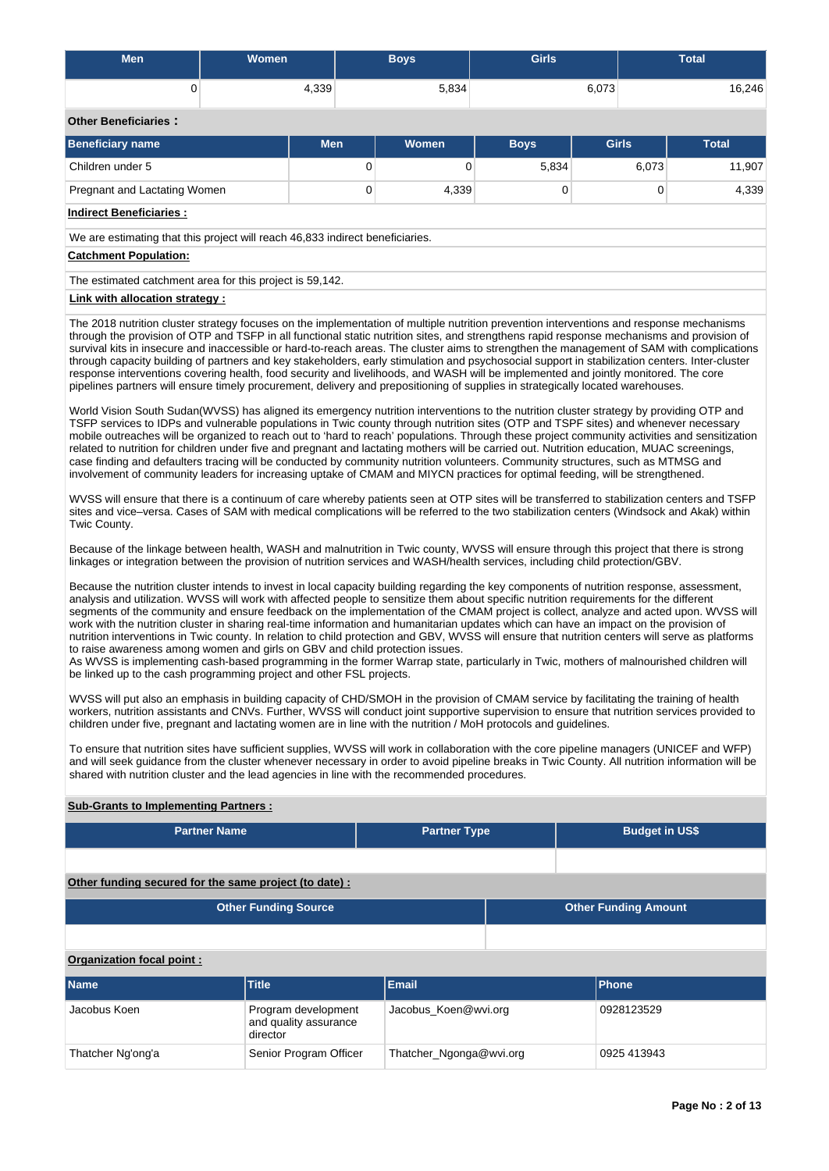| Men                                                                                                                                                                                                                                                                                                                                                                                                                                                                                                                                                                                                                                                                                                                                                                                                                                                                                                                                                                                                                            | Women                       |                                              | <b>Boys</b>             | <b>Girls</b> |                             | <b>Total</b> |  |  |  |  |  |
|--------------------------------------------------------------------------------------------------------------------------------------------------------------------------------------------------------------------------------------------------------------------------------------------------------------------------------------------------------------------------------------------------------------------------------------------------------------------------------------------------------------------------------------------------------------------------------------------------------------------------------------------------------------------------------------------------------------------------------------------------------------------------------------------------------------------------------------------------------------------------------------------------------------------------------------------------------------------------------------------------------------------------------|-----------------------------|----------------------------------------------|-------------------------|--------------|-----------------------------|--------------|--|--|--|--|--|
| 0                                                                                                                                                                                                                                                                                                                                                                                                                                                                                                                                                                                                                                                                                                                                                                                                                                                                                                                                                                                                                              |                             | 4,339                                        | 5,834                   |              | 6,073                       | 16,246       |  |  |  |  |  |
| <b>Other Beneficiaries:</b>                                                                                                                                                                                                                                                                                                                                                                                                                                                                                                                                                                                                                                                                                                                                                                                                                                                                                                                                                                                                    |                             |                                              |                         |              |                             |              |  |  |  |  |  |
| <b>Beneficiary name</b>                                                                                                                                                                                                                                                                                                                                                                                                                                                                                                                                                                                                                                                                                                                                                                                                                                                                                                                                                                                                        |                             | <b>Men</b>                                   | <b>Women</b>            | <b>Boys</b>  | <b>Girls</b>                | <b>Total</b> |  |  |  |  |  |
| Children under 5                                                                                                                                                                                                                                                                                                                                                                                                                                                                                                                                                                                                                                                                                                                                                                                                                                                                                                                                                                                                               |                             |                                              | $\mathbf 0$<br>0        | 5,834        | 6,073                       | 11,907       |  |  |  |  |  |
| Pregnant and Lactating Women                                                                                                                                                                                                                                                                                                                                                                                                                                                                                                                                                                                                                                                                                                                                                                                                                                                                                                                                                                                                   |                             |                                              | $\mathbf 0$<br>4,339    |              | 0<br>0                      | 4,339        |  |  |  |  |  |
| <b>Indirect Beneficiaries:</b>                                                                                                                                                                                                                                                                                                                                                                                                                                                                                                                                                                                                                                                                                                                                                                                                                                                                                                                                                                                                 |                             |                                              |                         |              |                             |              |  |  |  |  |  |
| We are estimating that this project will reach 46,833 indirect beneficiaries.                                                                                                                                                                                                                                                                                                                                                                                                                                                                                                                                                                                                                                                                                                                                                                                                                                                                                                                                                  |                             |                                              |                         |              |                             |              |  |  |  |  |  |
| <b>Catchment Population:</b>                                                                                                                                                                                                                                                                                                                                                                                                                                                                                                                                                                                                                                                                                                                                                                                                                                                                                                                                                                                                   |                             |                                              |                         |              |                             |              |  |  |  |  |  |
| The estimated catchment area for this project is 59,142.                                                                                                                                                                                                                                                                                                                                                                                                                                                                                                                                                                                                                                                                                                                                                                                                                                                                                                                                                                       |                             |                                              |                         |              |                             |              |  |  |  |  |  |
| Link with allocation strategy :                                                                                                                                                                                                                                                                                                                                                                                                                                                                                                                                                                                                                                                                                                                                                                                                                                                                                                                                                                                                |                             |                                              |                         |              |                             |              |  |  |  |  |  |
| The 2018 nutrition cluster strategy focuses on the implementation of multiple nutrition prevention interventions and response mechanisms<br>through the provision of OTP and TSFP in all functional static nutrition sites, and strengthens rapid response mechanisms and provision of<br>survival kits in insecure and inaccessible or hard-to-reach areas. The cluster aims to strengthen the management of SAM with complications<br>through capacity building of partners and key stakeholders, early stimulation and psychosocial support in stabilization centers. Inter-cluster<br>response interventions covering health, food security and livelihoods, and WASH will be implemented and jointly monitored. The core<br>pipelines partners will ensure timely procurement, delivery and prepositioning of supplies in strategically located warehouses.                                                                                                                                                               |                             |                                              |                         |              |                             |              |  |  |  |  |  |
| World Vision South Sudan(WVSS) has aligned its emergency nutrition interventions to the nutrition cluster strategy by providing OTP and<br>TSFP services to IDPs and vulnerable populations in Twic county through nutrition sites (OTP and TSPF sites) and whenever necessary<br>mobile outreaches will be organized to reach out to 'hard to reach' populations. Through these project community activities and sensitization<br>related to nutrition for children under five and pregnant and lactating mothers will be carried out. Nutrition education, MUAC screenings,<br>case finding and defaulters tracing will be conducted by community nutrition volunteers. Community structures, such as MTMSG and<br>involvement of community leaders for increasing uptake of CMAM and MIYCN practices for optimal feeding, will be strengthened.                                                                                                                                                                             |                             |                                              |                         |              |                             |              |  |  |  |  |  |
| WVSS will ensure that there is a continuum of care whereby patients seen at OTP sites will be transferred to stabilization centers and TSFP<br>sites and vice-versa. Cases of SAM with medical complications will be referred to the two stabilization centers (Windsock and Akak) within<br>Twic County.                                                                                                                                                                                                                                                                                                                                                                                                                                                                                                                                                                                                                                                                                                                      |                             |                                              |                         |              |                             |              |  |  |  |  |  |
| Because of the linkage between health, WASH and malnutrition in Twic county, WVSS will ensure through this project that there is strong<br>linkages or integration between the provision of nutrition services and WASH/health services, including child protection/GBV.                                                                                                                                                                                                                                                                                                                                                                                                                                                                                                                                                                                                                                                                                                                                                       |                             |                                              |                         |              |                             |              |  |  |  |  |  |
| Because the nutrition cluster intends to invest in local capacity building regarding the key components of nutrition response, assessment,<br>analysis and utilization. WVSS will work with affected people to sensitize them about specific nutrition requirements for the different<br>segments of the community and ensure feedback on the implementation of the CMAM project is collect, analyze and acted upon. WVSS will<br>work with the nutrition cluster in sharing real-time information and humanitarian updates which can have an impact on the provision of<br>nutrition interventions in Twic county. In relation to child protection and GBV, WVSS will ensure that nutrition centers will serve as platforms<br>to raise awareness among women and girls on GBV and child protection issues.<br>As WVSS is implementing cash-based programming in the former Warrap state, particularly in Twic, mothers of malnourished children will<br>be linked up to the cash programming project and other FSL projects. |                             |                                              |                         |              |                             |              |  |  |  |  |  |
| WVSS will put also an emphasis in building capacity of CHD/SMOH in the provision of CMAM service by facilitating the training of health<br>workers, nutrition assistants and CNVs. Further, WVSS will conduct joint supportive supervision to ensure that nutrition services provided to<br>children under five, pregnant and lactating women are in line with the nutrition / MoH protocols and guidelines.                                                                                                                                                                                                                                                                                                                                                                                                                                                                                                                                                                                                                   |                             |                                              |                         |              |                             |              |  |  |  |  |  |
| To ensure that nutrition sites have sufficient supplies, WVSS will work in collaboration with the core pipeline managers (UNICEF and WFP)<br>and will seek guidance from the cluster whenever necessary in order to avoid pipeline breaks in Twic County. All nutrition information will be<br>shared with nutrition cluster and the lead agencies in line with the recommended procedures.                                                                                                                                                                                                                                                                                                                                                                                                                                                                                                                                                                                                                                    |                             |                                              |                         |              |                             |              |  |  |  |  |  |
| <b>Sub-Grants to Implementing Partners:</b>                                                                                                                                                                                                                                                                                                                                                                                                                                                                                                                                                                                                                                                                                                                                                                                                                                                                                                                                                                                    |                             |                                              |                         |              |                             |              |  |  |  |  |  |
|                                                                                                                                                                                                                                                                                                                                                                                                                                                                                                                                                                                                                                                                                                                                                                                                                                                                                                                                                                                                                                | <b>Partner Name</b>         |                                              | <b>Partner Type</b>     |              | <b>Budget in US\$</b>       |              |  |  |  |  |  |
|                                                                                                                                                                                                                                                                                                                                                                                                                                                                                                                                                                                                                                                                                                                                                                                                                                                                                                                                                                                                                                |                             |                                              |                         |              |                             |              |  |  |  |  |  |
| Other funding secured for the same project (to date) :                                                                                                                                                                                                                                                                                                                                                                                                                                                                                                                                                                                                                                                                                                                                                                                                                                                                                                                                                                         |                             |                                              |                         |              |                             |              |  |  |  |  |  |
|                                                                                                                                                                                                                                                                                                                                                                                                                                                                                                                                                                                                                                                                                                                                                                                                                                                                                                                                                                                                                                | <b>Other Funding Source</b> |                                              |                         |              | <b>Other Funding Amount</b> |              |  |  |  |  |  |
|                                                                                                                                                                                                                                                                                                                                                                                                                                                                                                                                                                                                                                                                                                                                                                                                                                                                                                                                                                                                                                |                             |                                              |                         |              |                             |              |  |  |  |  |  |
| Organization focal point:                                                                                                                                                                                                                                                                                                                                                                                                                                                                                                                                                                                                                                                                                                                                                                                                                                                                                                                                                                                                      |                             |                                              |                         |              |                             |              |  |  |  |  |  |
|                                                                                                                                                                                                                                                                                                                                                                                                                                                                                                                                                                                                                                                                                                                                                                                                                                                                                                                                                                                                                                |                             |                                              |                         |              |                             |              |  |  |  |  |  |
| <b>Name</b>                                                                                                                                                                                                                                                                                                                                                                                                                                                                                                                                                                                                                                                                                                                                                                                                                                                                                                                                                                                                                    | <b>Title</b>                |                                              | <b>Email</b>            |              | <b>Phone</b>                |              |  |  |  |  |  |
| Jacobus Koen                                                                                                                                                                                                                                                                                                                                                                                                                                                                                                                                                                                                                                                                                                                                                                                                                                                                                                                                                                                                                   | director                    | Program development<br>and quality assurance | Jacobus_Koen@wvi.org    |              | 0928123529                  |              |  |  |  |  |  |
| Thatcher Ng'ong'a                                                                                                                                                                                                                                                                                                                                                                                                                                                                                                                                                                                                                                                                                                                                                                                                                                                                                                                                                                                                              |                             | Senior Program Officer                       | Thatcher_Ngonga@wvi.org |              | 0925 413943                 |              |  |  |  |  |  |
|                                                                                                                                                                                                                                                                                                                                                                                                                                                                                                                                                                                                                                                                                                                                                                                                                                                                                                                                                                                                                                |                             |                                              |                         |              |                             |              |  |  |  |  |  |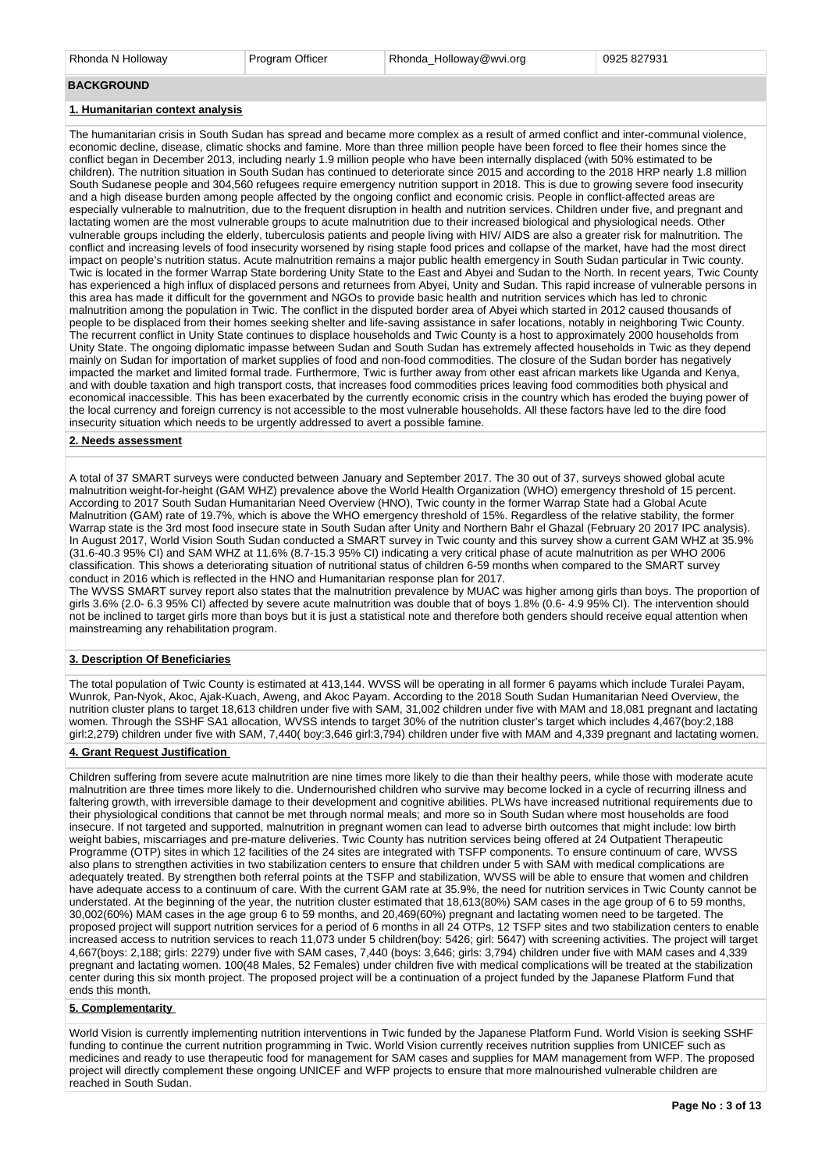Rhonda N Holloway **Program Officer** Rhonda Holloway@wvi.org 0925 827931

#### **BACKGROUND**

### **1. Humanitarian context analysis**

The humanitarian crisis in South Sudan has spread and became more complex as a result of armed conflict and inter-communal violence, economic decline, disease, climatic shocks and famine. More than three million people have been forced to flee their homes since the conflict began in December 2013, including nearly 1.9 million people who have been internally displaced (with 50% estimated to be children). The nutrition situation in South Sudan has continued to deteriorate since 2015 and according to the 2018 HRP nearly 1.8 million South Sudanese people and 304,560 refugees require emergency nutrition support in 2018. This is due to growing severe food insecurity and a high disease burden among people affected by the ongoing conflict and economic crisis. People in conflict-affected areas are especially vulnerable to malnutrition, due to the frequent disruption in health and nutrition services. Children under five, and pregnant and lactating women are the most vulnerable groups to acute malnutrition due to their increased biological and physiological needs. Other vulnerable groups including the elderly, tuberculosis patients and people living with HIV/ AIDS are also a greater risk for malnutrition. The conflict and increasing levels of food insecurity worsened by rising staple food prices and collapse of the market, have had the most direct impact on people's nutrition status. Acute malnutrition remains a major public health emergency in South Sudan particular in Twic county. Twic is located in the former Warrap State bordering Unity State to the East and Abyei and Sudan to the North. In recent years, Twic County has experienced a high influx of displaced persons and returnees from Abyei, Unity and Sudan. This rapid increase of vulnerable persons in this area has made it difficult for the government and NGOs to provide basic health and nutrition services which has led to chronic malnutrition among the population in Twic. The conflict in the disputed border area of Abyei which started in 2012 caused thousands of people to be displaced from their homes seeking shelter and life-saving assistance in safer locations, notably in neighboring Twic County. The recurrent conflict in Unity State continues to displace households and Twic County is a host to approximately 2000 households from Unity State. The ongoing diplomatic impasse between Sudan and South Sudan has extremely affected households in Twic as they depend mainly on Sudan for importation of market supplies of food and non-food commodities. The closure of the Sudan border has negatively impacted the market and limited formal trade. Furthermore, Twic is further away from other east african markets like Uganda and Kenya, and with double taxation and high transport costs, that increases food commodities prices leaving food commodities both physical and economical inaccessible. This has been exacerbated by the currently economic crisis in the country which has eroded the buying power of the local currency and foreign currency is not accessible to the most vulnerable households. All these factors have led to the dire food insecurity situation which needs to be urgently addressed to avert a possible famine.

### **2. Needs assessment**

A total of 37 SMART surveys were conducted between January and September 2017. The 30 out of 37, surveys showed global acute malnutrition weight-for-height (GAM WHZ) prevalence above the World Health Organization (WHO) emergency threshold of 15 percent. According to 2017 South Sudan Humanitarian Need Overview (HNO), Twic county in the former Warrap State had a Global Acute Malnutrition (GAM) rate of 19.7%, which is above the WHO emergency threshold of 15%. Regardless of the relative stability, the former Warrap state is the 3rd most food insecure state in South Sudan after Unity and Northern Bahr el Ghazal (February 20 2017 IPC analysis). In August 2017, World Vision South Sudan conducted a SMART survey in Twic county and this survey show a current GAM WHZ at 35.9% (31.6-40.3 95% CI) and SAM WHZ at 11.6% (8.7-15.3 95% CI) indicating a very critical phase of acute malnutrition as per WHO 2006 classification. This shows a deteriorating situation of nutritional status of children 6-59 months when compared to the SMART survey conduct in 2016 which is reflected in the HNO and Humanitarian response plan for 2017.

The WVSS SMART survey report also states that the malnutrition prevalence by MUAC was higher among girls than boys. The proportion of girls 3.6% (2.0- 6.3 95% CI) affected by severe acute malnutrition was double that of boys 1.8% (0.6- 4.9 95% CI). The intervention should not be inclined to target girls more than boys but it is just a statistical note and therefore both genders should receive equal attention when mainstreaming any rehabilitation program.

### **3. Description Of Beneficiaries**

The total population of Twic County is estimated at 413,144. WVSS will be operating in all former 6 payams which include Turalei Payam, Wunrok, Pan-Nyok, Akoc, Ajak-Kuach, Aweng, and Akoc Payam. According to the 2018 South Sudan Humanitarian Need Overview, the nutrition cluster plans to target 18,613 children under five with SAM, 31,002 children under five with MAM and 18,081 pregnant and lactating women. Through the SSHF SA1 allocation, WVSS intends to target 30% of the nutrition cluster's target which includes 4,467(boy:2,188 girl:2,279) children under five with SAM, 7,440( boy:3,646 girl:3,794) children under five with MAM and 4,339 pregnant and lactating women.

### **4. Grant Request Justification**

Children suffering from severe acute malnutrition are nine times more likely to die than their healthy peers, while those with moderate acute malnutrition are three times more likely to die. Undernourished children who survive may become locked in a cycle of recurring illness and faltering growth, with irreversible damage to their development and cognitive abilities. PLWs have increased nutritional requirements due to their physiological conditions that cannot be met through normal meals; and more so in South Sudan where most households are food insecure. If not targeted and supported, malnutrition in pregnant women can lead to adverse birth outcomes that might include: low birth weight babies, miscarriages and pre-mature deliveries. Twic County has nutrition services being offered at 24 Outpatient Therapeutic Programme (OTP) sites in which 12 facilities of the 24 sites are integrated with TSFP components. To ensure continuum of care, WVSS also plans to strengthen activities in two stabilization centers to ensure that children under 5 with SAM with medical complications are adequately treated. By strengthen both referral points at the TSFP and stabilization, WVSS will be able to ensure that women and children have adequate access to a continuum of care. With the current GAM rate at 35.9%, the need for nutrition services in Twic County cannot be understated. At the beginning of the year, the nutrition cluster estimated that 18,613(80%) SAM cases in the age group of 6 to 59 months, 30,002(60%) MAM cases in the age group 6 to 59 months, and 20,469(60%) pregnant and lactating women need to be targeted. The proposed project will support nutrition services for a period of 6 months in all 24 OTPs, 12 TSFP sites and two stabilization centers to enable increased access to nutrition services to reach 11,073 under 5 children(boy: 5426; girl: 5647) with screening activities. The project will target 4,667(boys: 2,188; girls: 2279) under five with SAM cases, 7,440 (boys: 3,646; girls: 3,794) children under five with MAM cases and 4,339 pregnant and lactating women. 100(48 Males, 52 Females) under children five with medical complications will be treated at the stabilization center during this six month project. The proposed project will be a continuation of a project funded by the Japanese Platform Fund that ends this month.

### **5. Complementarity**

World Vision is currently implementing nutrition interventions in Twic funded by the Japanese Platform Fund. World Vision is seeking SSHF funding to continue the current nutrition programming in Twic. World Vision currently receives nutrition supplies from UNICEF such as medicines and ready to use therapeutic food for management for SAM cases and supplies for MAM management from WFP. The proposed project will directly complement these ongoing UNICEF and WFP projects to ensure that more malnourished vulnerable children are reached in South Sudan.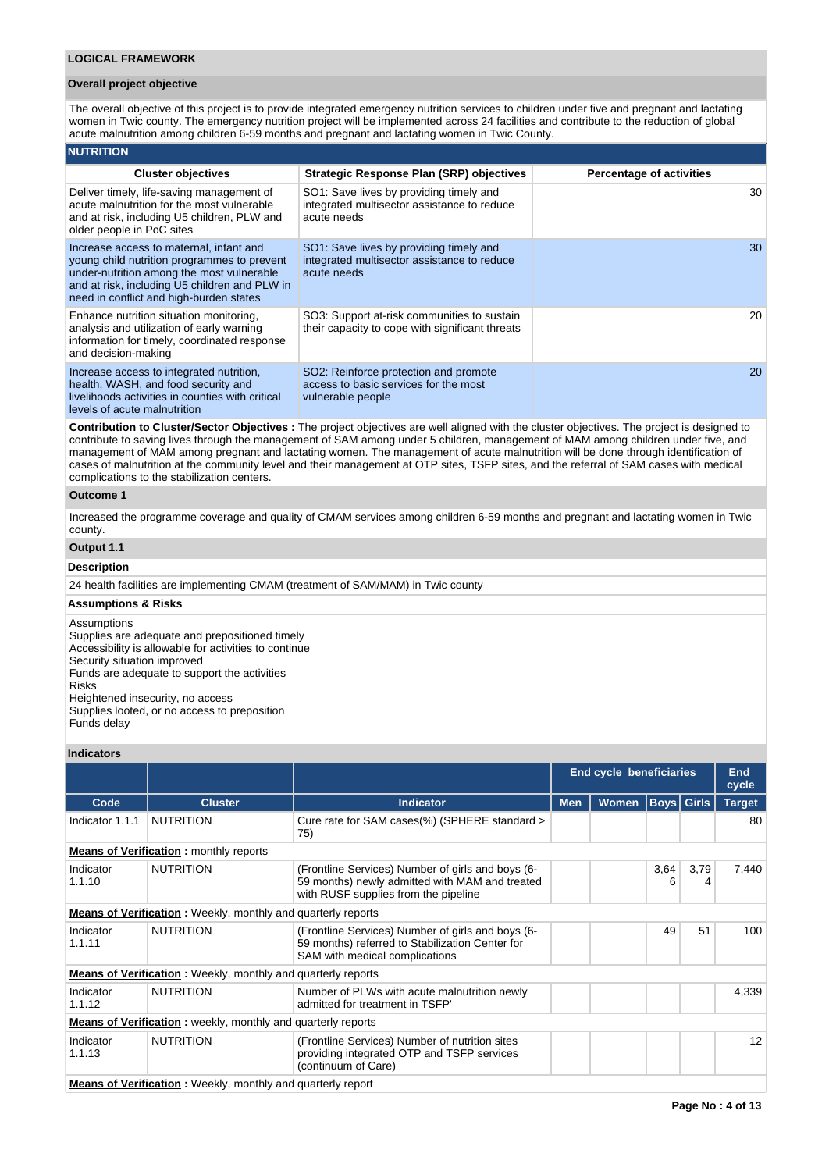### **Overall project objective**

The overall objective of this project is to provide integrated emergency nutrition services to children under five and pregnant and lactating women in Twic county. The emergency nutrition project will be implemented across 24 facilities and contribute to the reduction of global acute malnutrition among children 6-59 months and pregnant and lactating women in Twic County.

#### **NUTRITION Cluster objectives Strategic Response Plan (SRP) objectives Percentage of activities** Deliver timely, life-saving management of acute malnutrition for the most vulnerable and at risk, including U5 children, PLW and older people in PoC sites SO1: Save lives by providing timely and integrated multisector assistance to reduce acute needs 30 Increase access to maternal, infant and young child nutrition programmes to prevent under-nutrition among the most vulnerable and at risk, including U5 children and PLW in need in conflict and high-burden states SO1: Save lives by providing timely and integrated multisector assistance to reduce acute needs 30 Enhance nutrition situation monitoring, analysis and utilization of early warning information for timely, coordinated response and decision-making SO3: Support at-risk communities to sustain their capacity to cope with significant threats 20 Increase access to integrated nutrition, health, WASH, and food security and livelihoods activities in counties with critical levels of acute malnutrition SO2: Reinforce protection and promote access to basic services for the most vulnerable people 20

**Contribution to Cluster/Sector Objectives :** The project objectives are well aligned with the cluster objectives. The project is designed to contribute to saving lives through the management of SAM among under 5 children, management of MAM among children under five, and management of MAM among pregnant and lactating women. The management of acute malnutrition will be done through identification of cases of malnutrition at the community level and their management at OTP sites, TSFP sites, and the referral of SAM cases with medical complications to the stabilization centers.

### **Outcome 1**

Increased the programme coverage and quality of CMAM services among children 6-59 months and pregnant and lactating women in Twic county.

# **Output 1.1**

### **Description**

24 health facilities are implementing CMAM (treatment of SAM/MAM) in Twic county

#### **Assumptions & Risks**

**Assumptions** Supplies are adequate and prepositioned timely Accessibility is allowable for activities to continue Security situation improved Funds are adequate to support the activities Risks Heightened insecurity, no access Supplies looted, or no access to preposition Funds delay

### **Indicators**

|                     |                                                                      |                                                                                                                                             |            | <b>End cycle beneficiaries</b> |                   |           |               |  |  |
|---------------------|----------------------------------------------------------------------|---------------------------------------------------------------------------------------------------------------------------------------------|------------|--------------------------------|-------------------|-----------|---------------|--|--|
| Code                | <b>Cluster</b>                                                       | <b>Indicator</b>                                                                                                                            | <b>Men</b> | <b>Women</b>                   | <b>Boys</b> Girls |           | <b>Target</b> |  |  |
| Indicator 1.1.1     | <b>NUTRITION</b>                                                     | Cure rate for SAM cases(%) (SPHERE standard ><br>75)                                                                                        |            |                                |                   |           | 80            |  |  |
|                     | <b>Means of Verification:</b> monthly reports                        |                                                                                                                                             |            |                                |                   |           |               |  |  |
| Indicator<br>1.1.10 | <b>NUTRITION</b>                                                     | (Frontline Services) Number of girls and boys (6-<br>59 months) newly admitted with MAM and treated<br>with RUSF supplies from the pipeline |            |                                | 3.64<br>6         | 3,79<br>4 | 7,440         |  |  |
|                     | <b>Means of Verification</b> : Weekly, monthly and quarterly reports |                                                                                                                                             |            |                                |                   |           |               |  |  |
| Indicator<br>1.1.11 | <b>NUTRITION</b>                                                     | (Frontline Services) Number of girls and boys (6-<br>59 months) referred to Stabilization Center for<br>SAM with medical complications      |            |                                | 49                | 51        | 100           |  |  |
|                     | <b>Means of Verification</b> : Weekly, monthly and quarterly reports |                                                                                                                                             |            |                                |                   |           |               |  |  |
| Indicator<br>1.1.12 | <b>NUTRITION</b>                                                     | Number of PLWs with acute malnutrition newly<br>admitted for treatment in TSFP'                                                             |            |                                |                   |           | 4,339         |  |  |
|                     | <b>Means of Verification:</b> weekly, monthly and quarterly reports  |                                                                                                                                             |            |                                |                   |           |               |  |  |
| Indicator<br>1.1.13 | <b>NUTRITION</b>                                                     | (Frontline Services) Number of nutrition sites<br>providing integrated OTP and TSFP services<br>(continuum of Care)                         |            |                                |                   |           | 12            |  |  |
|                     | <b>Means of Verification:</b> Weekly, monthly and quarterly report   |                                                                                                                                             |            |                                |                   |           |               |  |  |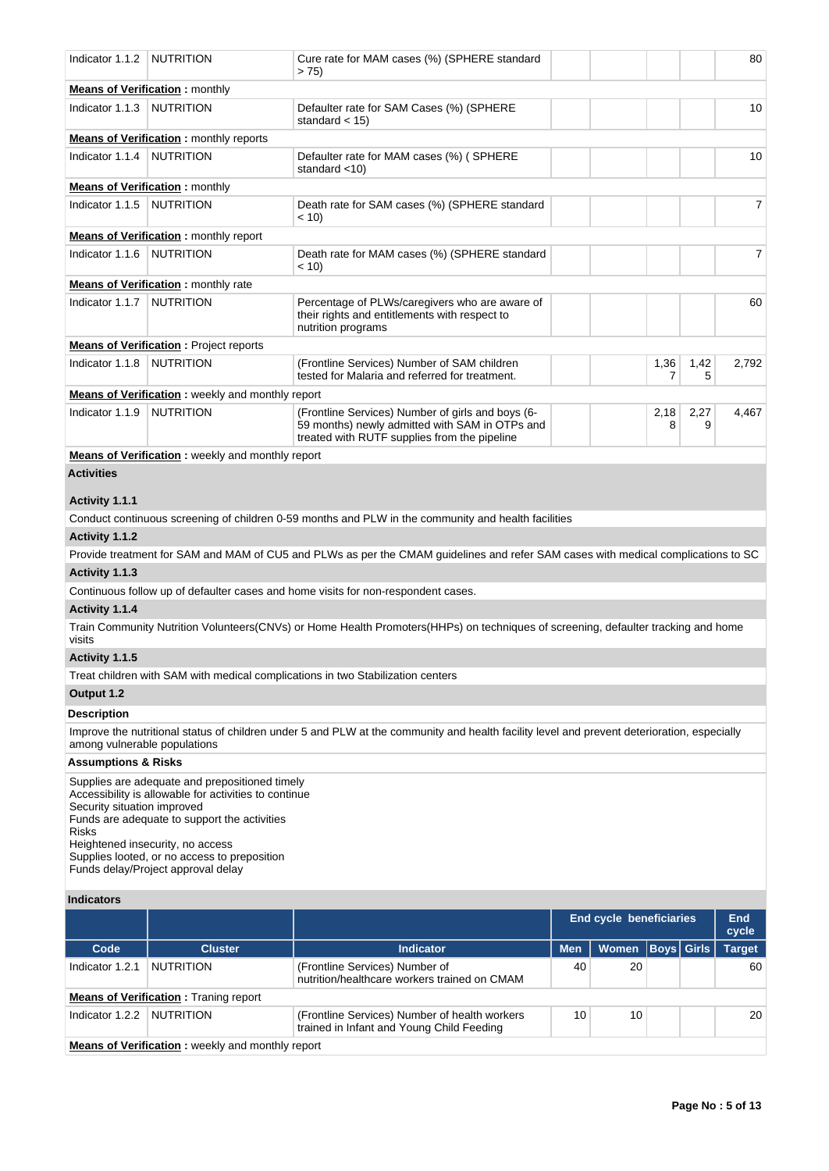| Indicator 1.1.2                             | NUTRITION                                                                                                                                                                                                                                                                         | Cure rate for MAM cases (%) (SPHERE standard<br>> 75                                                                                                |            |                         |             |              | 80                  |
|---------------------------------------------|-----------------------------------------------------------------------------------------------------------------------------------------------------------------------------------------------------------------------------------------------------------------------------------|-----------------------------------------------------------------------------------------------------------------------------------------------------|------------|-------------------------|-------------|--------------|---------------------|
|                                             | <b>Means of Verification:</b> monthly                                                                                                                                                                                                                                             |                                                                                                                                                     |            |                         |             |              |                     |
| Indicator 1.1.3                             | NUTRITION                                                                                                                                                                                                                                                                         | Defaulter rate for SAM Cases (%) (SPHERE<br>standard $<$ 15)                                                                                        |            |                         |             |              | 10                  |
|                                             | <b>Means of Verification:</b> monthly reports                                                                                                                                                                                                                                     |                                                                                                                                                     |            |                         |             |              |                     |
| Indicator 1.1.4   NUTRITION                 |                                                                                                                                                                                                                                                                                   | Defaulter rate for MAM cases (%) (SPHERE<br>standard <10)                                                                                           |            |                         |             |              | 10                  |
|                                             | <b>Means of Verification:</b> monthly                                                                                                                                                                                                                                             |                                                                                                                                                     |            |                         |             |              |                     |
| Indicator 1.1.5   NUTRITION                 |                                                                                                                                                                                                                                                                                   | Death rate for SAM cases (%) (SPHERE standard<br>< 10                                                                                               |            |                         |             |              | 7                   |
|                                             | <b>Means of Verification:</b> monthly report                                                                                                                                                                                                                                      |                                                                                                                                                     |            |                         |             |              |                     |
| Indicator 1.1.6                             | <b>NUTRITION</b>                                                                                                                                                                                                                                                                  | Death rate for MAM cases (%) (SPHERE standard<br>$~<$ 10)                                                                                           |            |                         |             |              | $\overline{7}$      |
|                                             | <b>Means of Verification:</b> monthly rate                                                                                                                                                                                                                                        |                                                                                                                                                     |            |                         |             |              |                     |
| Indicator 1.1.7                             | NUTRITION                                                                                                                                                                                                                                                                         | Percentage of PLWs/caregivers who are aware of<br>their rights and entitlements with respect to<br>nutrition programs                               |            |                         |             |              | 60                  |
|                                             | <b>Means of Verification:</b> Project reports                                                                                                                                                                                                                                     |                                                                                                                                                     |            |                         |             |              |                     |
| Indicator 1.1.8                             | <b>NUTRITION</b>                                                                                                                                                                                                                                                                  | (Frontline Services) Number of SAM children<br>tested for Malaria and referred for treatment.                                                       |            |                         | 1,36<br>7   | 1,42<br>5    | 2,792               |
|                                             | Means of Verification: weekly and monthly report                                                                                                                                                                                                                                  |                                                                                                                                                     |            |                         |             |              |                     |
| Indicator 1.1.9                             | <b>NUTRITION</b>                                                                                                                                                                                                                                                                  | (Frontline Services) Number of girls and boys (6-<br>59 months) newly admitted with SAM in OTPs and<br>treated with RUTF supplies from the pipeline |            |                         | 2,18<br>8   | 2,27<br>9    | 4,467               |
|                                             | <b>Means of Verification:</b> weekly and monthly report                                                                                                                                                                                                                           |                                                                                                                                                     |            |                         |             |              |                     |
| <b>Activities</b>                           |                                                                                                                                                                                                                                                                                   |                                                                                                                                                     |            |                         |             |              |                     |
|                                             |                                                                                                                                                                                                                                                                                   |                                                                                                                                                     |            |                         |             |              |                     |
| Activity 1.1.1                              |                                                                                                                                                                                                                                                                                   |                                                                                                                                                     |            |                         |             |              |                     |
|                                             |                                                                                                                                                                                                                                                                                   | Conduct continuous screening of children 0-59 months and PLW in the community and health facilities                                                 |            |                         |             |              |                     |
| Activity 1.1.2                              |                                                                                                                                                                                                                                                                                   |                                                                                                                                                     |            |                         |             |              |                     |
|                                             |                                                                                                                                                                                                                                                                                   | Provide treatment for SAM and MAM of CU5 and PLWs as per the CMAM guidelines and refer SAM cases with medical complications to SC                   |            |                         |             |              |                     |
| Activity 1.1.3                              |                                                                                                                                                                                                                                                                                   |                                                                                                                                                     |            |                         |             |              |                     |
|                                             |                                                                                                                                                                                                                                                                                   | Continuous follow up of defaulter cases and home visits for non-respondent cases.                                                                   |            |                         |             |              |                     |
| Activity 1.1.4                              |                                                                                                                                                                                                                                                                                   |                                                                                                                                                     |            |                         |             |              |                     |
| visits                                      |                                                                                                                                                                                                                                                                                   | Train Community Nutrition Volunteers(CNVs) or Home Health Promoters(HHPs) on techniques of screening, defaulter tracking and home                   |            |                         |             |              |                     |
| Activity 1.1.5                              |                                                                                                                                                                                                                                                                                   |                                                                                                                                                     |            |                         |             |              |                     |
|                                             |                                                                                                                                                                                                                                                                                   | Treat children with SAM with medical complications in two Stabilization centers                                                                     |            |                         |             |              |                     |
| Output 1.2                                  |                                                                                                                                                                                                                                                                                   |                                                                                                                                                     |            |                         |             |              |                     |
| <b>Description</b>                          |                                                                                                                                                                                                                                                                                   |                                                                                                                                                     |            |                         |             |              |                     |
| among vulnerable populations                |                                                                                                                                                                                                                                                                                   | Improve the nutritional status of children under 5 and PLW at the community and health facility level and prevent deterioration, especially         |            |                         |             |              |                     |
| <b>Assumptions &amp; Risks</b>              |                                                                                                                                                                                                                                                                                   |                                                                                                                                                     |            |                         |             |              |                     |
| Security situation improved<br><b>Risks</b> | Supplies are adequate and prepositioned timely<br>Accessibility is allowable for activities to continue<br>Funds are adequate to support the activities<br>Heightened insecurity, no access<br>Supplies looted, or no access to preposition<br>Funds delay/Project approval delay |                                                                                                                                                     |            |                         |             |              |                     |
| <b>Indicators</b>                           |                                                                                                                                                                                                                                                                                   |                                                                                                                                                     |            |                         |             |              |                     |
|                                             |                                                                                                                                                                                                                                                                                   |                                                                                                                                                     |            | End cycle beneficiaries |             |              | <b>End</b><br>cycle |
| Code                                        | <b>Cluster</b>                                                                                                                                                                                                                                                                    | <b>Indicator</b>                                                                                                                                    | <b>Men</b> | <b>Women</b>            | <b>Boys</b> | <b>Girls</b> | <b>Target</b>       |
| Indicator 1.2.1                             | <b>NUTRITION</b>                                                                                                                                                                                                                                                                  | (Frontline Services) Number of<br>nutrition/healthcare workers trained on CMAM                                                                      | 40         | 20                      |             |              | 60                  |
|                                             | <b>Means of Verification:</b> Traning report                                                                                                                                                                                                                                      |                                                                                                                                                     |            |                         |             |              |                     |

10 10 20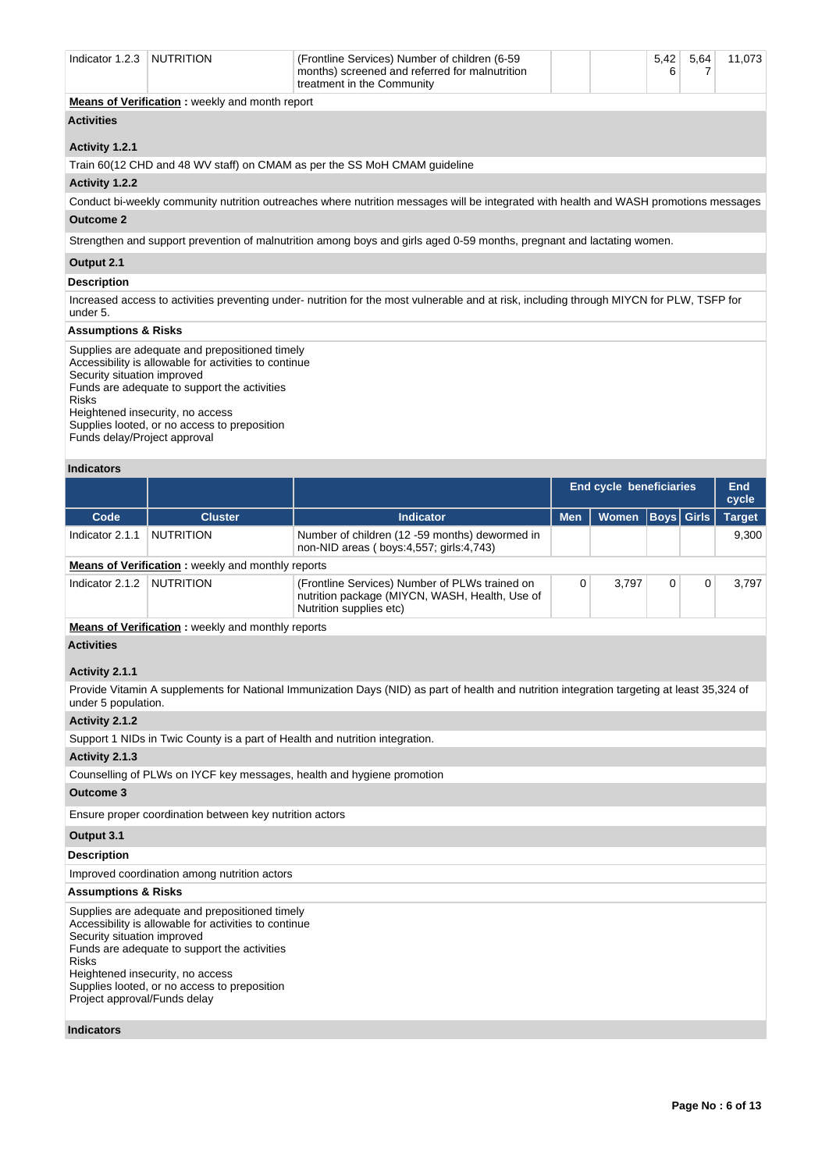| Indicator 1.2.3                | NUTRITION                                             | (Frontline Services) Number of children (6-59)<br>months) screened and referred for malnutrition<br>treatment in the Community            |  | 5,42<br>6 | 5,64 | 11,073 |
|--------------------------------|-------------------------------------------------------|-------------------------------------------------------------------------------------------------------------------------------------------|--|-----------|------|--------|
|                                | <b>Means of Verification:</b> weekly and month report |                                                                                                                                           |  |           |      |        |
| <b>Activities</b>              |                                                       |                                                                                                                                           |  |           |      |        |
| Activity 1.2.1                 |                                                       |                                                                                                                                           |  |           |      |        |
|                                |                                                       | Train 60(12 CHD and 48 WV staff) on CMAM as per the SS MoH CMAM guideline                                                                 |  |           |      |        |
| Activity 1.2.2                 |                                                       |                                                                                                                                           |  |           |      |        |
|                                |                                                       | Conduct bi-weekly community nutrition outreaches where nutrition messages will be integrated with health and WASH promotions messages     |  |           |      |        |
| <b>Outcome 2</b>               |                                                       |                                                                                                                                           |  |           |      |        |
|                                |                                                       | Strengthen and support prevention of malnutrition among boys and girls aged 0-59 months, pregnant and lactating women.                    |  |           |      |        |
| Output 2.1                     |                                                       |                                                                                                                                           |  |           |      |        |
| <b>Description</b>             |                                                       |                                                                                                                                           |  |           |      |        |
| under 5.                       |                                                       | Increased access to activities preventing under- nutrition for the most vulnerable and at risk, including through MIYCN for PLW, TSFP for |  |           |      |        |
| <b>Assumptions &amp; Risks</b> |                                                       |                                                                                                                                           |  |           |      |        |
|                                |                                                       |                                                                                                                                           |  |           |      |        |

Supplies are adequate and prepositioned timely Accessibility is allowable for activities to continue Security situation improved Funds are adequate to support the activities Risks Heightened insecurity, no access Supplies looted, or no access to preposition Funds delay/Project approval

### **Indicators**

|                 |                                                          |                                                                                                                             |            | <b>End cycle beneficiaries</b> |                   | End<br>cycle |               |
|-----------------|----------------------------------------------------------|-----------------------------------------------------------------------------------------------------------------------------|------------|--------------------------------|-------------------|--------------|---------------|
| Code            | <b>Cluster</b>                                           | <b>Indicator</b>                                                                                                            | <b>Men</b> | Women                          | <b>Boys Girls</b> |              | <b>Target</b> |
| Indicator 2.1.1 | <b>NUTRITION</b>                                         | Number of children (12 -59 months) dewormed in<br>non-NID areas (boys:4,557; girls:4,743)                                   |            |                                |                   |              | 9.300         |
|                 | <b>Means of Verification:</b> weekly and monthly reports |                                                                                                                             |            |                                |                   |              |               |
| Indicator 2.1.2 | NUTRITION                                                | (Frontline Services) Number of PLWs trained on<br>nutrition package (MIYCN, WASH, Health, Use of<br>Nutrition supplies etc) |            | 3.797                          |                   | $\Omega$     | 3.797         |

**Means of Verification :** weekly and monthly reports

### **Activities**

### **Activity 2.1.1**

Provide Vitamin A supplements for National Immunization Days (NID) as part of health and nutrition integration targeting at least 35,324 of under 5 population.

### **Activity 2.1.2**

Support 1 NIDs in Twic County is a part of Health and nutrition integration.

#### **Activity 2.1.3**

Counselling of PLWs on IYCF key messages, health and hygiene promotion

### **Outcome 3**

Ensure proper coordination between key nutrition actors

### **Output 3.1**

### **Description**

Improved coordination among nutrition actors

### **Assumptions & Risks**

Supplies are adequate and prepositioned timely Accessibility is allowable for activities to continue Security situation improved Funds are adequate to support the activities Risks Heightened insecurity, no access Supplies looted, or no access to preposition Project approval/Funds delay

### **Indicators**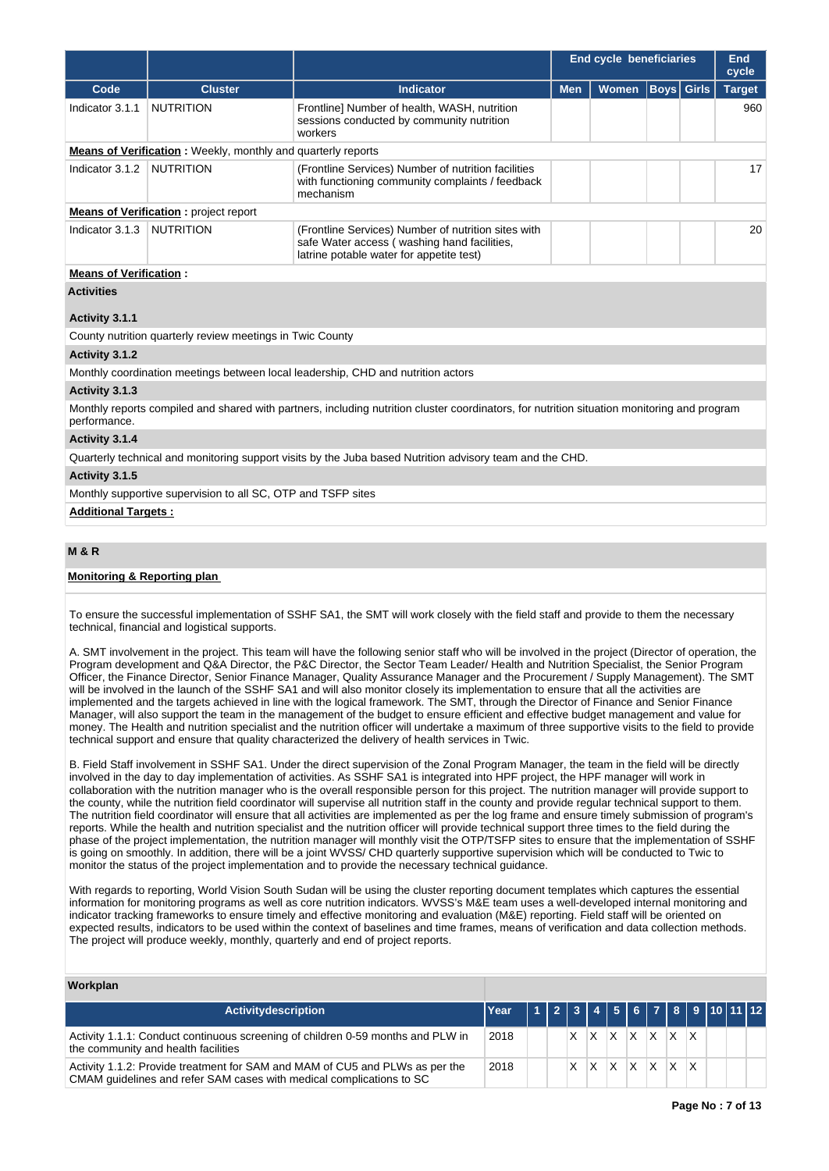|                                     |                                                                      |                                                                                                                                                | <b>End cycle beneficiaries</b> |       | End<br>cycle      |  |               |  |  |  |  |
|-------------------------------------|----------------------------------------------------------------------|------------------------------------------------------------------------------------------------------------------------------------------------|--------------------------------|-------|-------------------|--|---------------|--|--|--|--|
| Code                                | <b>Cluster</b>                                                       | <b>Indicator</b>                                                                                                                               | <b>Men</b>                     | Women | <b>Boys</b> Girls |  | <b>Target</b> |  |  |  |  |
| Indicator 3.1.1                     | <b>NUTRITION</b>                                                     | Frontline] Number of health, WASH, nutrition<br>sessions conducted by community nutrition<br>workers                                           |                                |       |                   |  | 960           |  |  |  |  |
|                                     | <b>Means of Verification</b> : Weekly, monthly and quarterly reports |                                                                                                                                                |                                |       |                   |  |               |  |  |  |  |
| Indicator 3.1.2                     | <b>NUTRITION</b>                                                     | (Frontline Services) Number of nutrition facilities<br>with functioning community complaints / feedback<br>mechanism                           |                                |       |                   |  | 17            |  |  |  |  |
|                                     | <b>Means of Verification:</b> project report                         |                                                                                                                                                |                                |       |                   |  |               |  |  |  |  |
| Indicator 3.1.3                     | <b>NUTRITION</b>                                                     | (Frontline Services) Number of nutrition sites with<br>safe Water access (washing hand facilities,<br>latrine potable water for appetite test) |                                |       |                   |  | 20            |  |  |  |  |
| <b>Means of Verification:</b>       |                                                                      |                                                                                                                                                |                                |       |                   |  |               |  |  |  |  |
| <b>Activities</b><br>Activity 3.1.1 |                                                                      |                                                                                                                                                |                                |       |                   |  |               |  |  |  |  |
|                                     | County nutrition quarterly review meetings in Twic County            |                                                                                                                                                |                                |       |                   |  |               |  |  |  |  |
| Activity 3.1.2                      |                                                                      |                                                                                                                                                |                                |       |                   |  |               |  |  |  |  |
|                                     |                                                                      | Monthly coordination meetings between local leadership, CHD and nutrition actors                                                               |                                |       |                   |  |               |  |  |  |  |
| Activity 3.1.3                      |                                                                      |                                                                                                                                                |                                |       |                   |  |               |  |  |  |  |
| performance.                        |                                                                      | Monthly reports compiled and shared with partners, including nutrition cluster coordinators, for nutrition situation monitoring and program    |                                |       |                   |  |               |  |  |  |  |

### **Activity 3.1.4**

Quarterly technical and monitoring support visits by the Juba based Nutrition advisory team and the CHD.

### **Activity 3.1.5**

Monthly supportive supervision to all SC, OTP and TSFP sites

### **Additional Targets :**

### **M & R**

### **Monitoring & Reporting plan**

To ensure the successful implementation of SSHF SA1, the SMT will work closely with the field staff and provide to them the necessary technical, financial and logistical supports.

A. SMT involvement in the project. This team will have the following senior staff who will be involved in the project (Director of operation, the Program development and Q&A Director, the P&C Director, the Sector Team Leader/ Health and Nutrition Specialist, the Senior Program Officer, the Finance Director, Senior Finance Manager, Quality Assurance Manager and the Procurement / Supply Management). The SMT will be involved in the launch of the SSHF SA1 and will also monitor closely its implementation to ensure that all the activities are implemented and the targets achieved in line with the logical framework. The SMT, through the Director of Finance and Senior Finance Manager, will also support the team in the management of the budget to ensure efficient and effective budget management and value for money. The Health and nutrition specialist and the nutrition officer will undertake a maximum of three supportive visits to the field to provide technical support and ensure that quality characterized the delivery of health services in Twic.

B. Field Staff involvement in SSHF SA1. Under the direct supervision of the Zonal Program Manager, the team in the field will be directly involved in the day to day implementation of activities. As SSHF SA1 is integrated into HPF project, the HPF manager will work in collaboration with the nutrition manager who is the overall responsible person for this project. The nutrition manager will provide support to the county, while the nutrition field coordinator will supervise all nutrition staff in the county and provide regular technical support to them. The nutrition field coordinator will ensure that all activities are implemented as per the log frame and ensure timely submission of program's reports. While the health and nutrition specialist and the nutrition officer will provide technical support three times to the field during the phase of the project implementation, the nutrition manager will monthly visit the OTP/TSFP sites to ensure that the implementation of SSHF is going on smoothly. In addition, there will be a joint WVSS/ CHD quarterly supportive supervision which will be conducted to Twic to monitor the status of the project implementation and to provide the necessary technical guidance.

With regards to reporting, World Vision South Sudan will be using the cluster reporting document templates which captures the essential information for monitoring programs as well as core nutrition indicators. WVSS's M&E team uses a well-developed internal monitoring and indicator tracking frameworks to ensure timely and effective monitoring and evaluation (M&E) reporting. Field staff will be oriented on expected results, indicators to be used within the context of baselines and time frames, means of verification and data collection methods. The project will produce weekly, monthly, quarterly and end of project reports.

# **Workplan**

| Activitydescription                                                                                                                                  | Year   1   2   3   4   5   6   7   8   9   10   11   12 |  |  |                               |  |  |  |
|------------------------------------------------------------------------------------------------------------------------------------------------------|---------------------------------------------------------|--|--|-------------------------------|--|--|--|
| Activity 1.1.1: Conduct continuous screening of children 0-59 months and PLW in<br>the community and health facilities                               | 2018                                                    |  |  | $ X $ $ X $ $ X $ $ X $ $ X $ |  |  |  |
| Activity 1.1.2: Provide treatment for SAM and MAM of CU5 and PLWs as per the<br>CMAM quidelines and refer SAM cases with medical complications to SC | 2018                                                    |  |  | $X$ $X$ $X$ $X$ $X$ $X$ $X$   |  |  |  |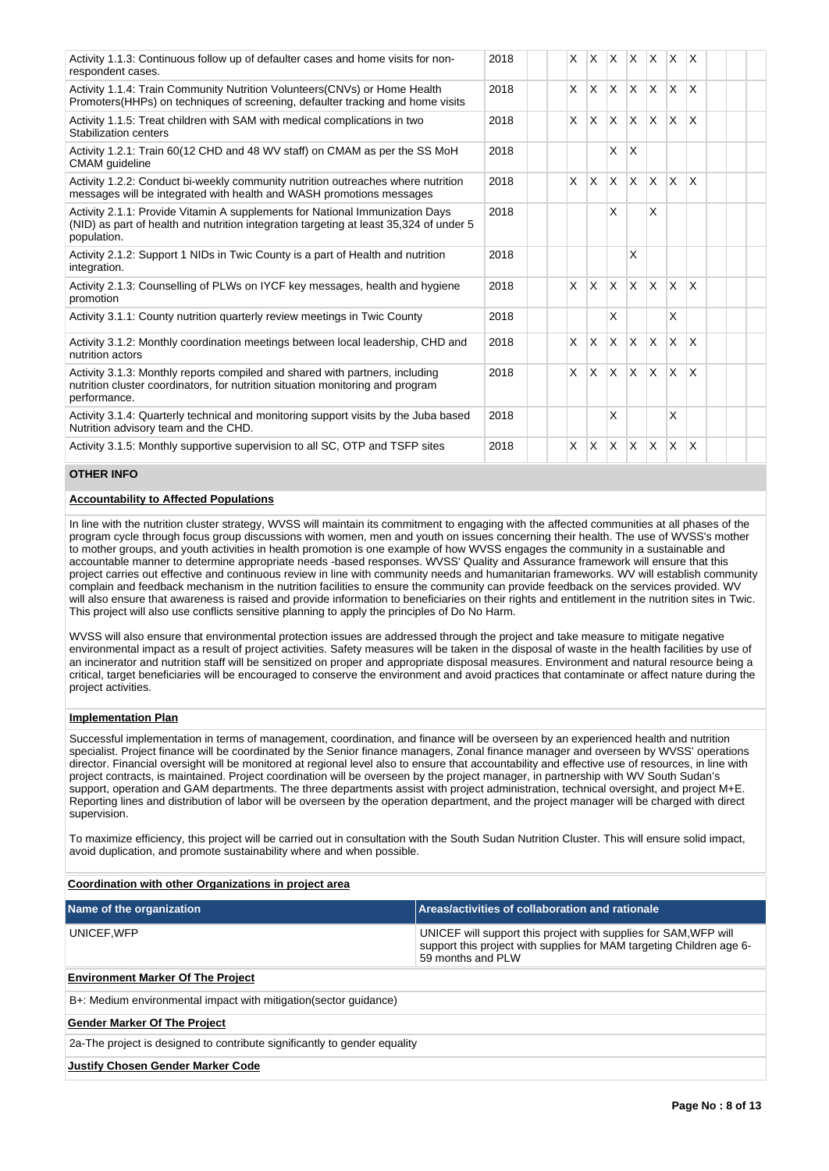| Activity 1.1.3: Continuous follow up of defaulter cases and home visits for non-<br>respondent cases.                                                                                 | 2018 | X            | <b>X</b>     | $\times$     | IX.                     | $\mathsf{X}$ | $\mathsf{X}$   | $\mathsf{x}$ |  |  |
|---------------------------------------------------------------------------------------------------------------------------------------------------------------------------------------|------|--------------|--------------|--------------|-------------------------|--------------|----------------|--------------|--|--|
| Activity 1.1.4: Train Community Nutrition Volunteers (CNVs) or Home Health<br>Promoters (HHPs) on techniques of screening, defaulter tracking and home visits                         | 2018 | $\mathsf{x}$ | <b>X</b>     | $\times$     | ΙX.                     | ΙX.          | ΙX.            | X            |  |  |
| Activity 1.1.5: Treat children with SAM with medical complications in two<br>Stabilization centers                                                                                    | 2018 | $\mathsf{x}$ | $\mathsf{X}$ | $\mathsf{x}$ | $\mathsf{X}$            | Ιx.          | ΙX.            | $\mathsf{x}$ |  |  |
| Activity 1.2.1: Train 60(12 CHD and 48 WV staff) on CMAM as per the SS MoH<br>CMAM guideline                                                                                          | 2018 |              |              | X            | X                       |              |                |              |  |  |
| Activity 1.2.2: Conduct bi-weekly community nutrition outreaches where nutrition<br>messages will be integrated with health and WASH promotions messages                              | 2018 | $\mathsf{x}$ | $\mathsf{x}$ | X            | $\overline{\mathsf{x}}$ | <b>X</b>     | $\times$       | $\times$     |  |  |
| Activity 2.1.1: Provide Vitamin A supplements for National Immunization Days<br>(NID) as part of health and nutrition integration targeting at least 35,324 of under 5<br>population. | 2018 |              |              | X            |                         | X            |                |              |  |  |
| Activity 2.1.2: Support 1 NIDs in Twic County is a part of Health and nutrition<br>integration.                                                                                       | 2018 |              |              |              | X                       |              |                |              |  |  |
| Activity 2.1.3: Counselling of PLWs on IYCF key messages, health and hygiene<br>promotion                                                                                             | 2018 | X            | X            | X            | $\overline{\mathsf{x}}$ | ΙX.          | $\mathsf{X}$   | $\mathsf{x}$ |  |  |
| Activity 3.1.1: County nutrition quarterly review meetings in Twic County                                                                                                             | 2018 |              |              | X            |                         |              | X              |              |  |  |
| Activity 3.1.2: Monthly coordination meetings between local leadership, CHD and<br>nutrition actors                                                                                   | 2018 | $\times$     | <b>X</b>     | $\mathsf{X}$ | $\mathsf{x}$            | <b>X</b>     | $\mathsf{X}^-$ | $\mathsf{x}$ |  |  |
| Activity 3.1.3: Monthly reports compiled and shared with partners, including<br>nutrition cluster coordinators, for nutrition situation monitoring and program<br>performance.        | 2018 | X            | $\mathsf{X}$ | $\mathsf{x}$ | <b>X</b>                | ΙX.          | ΙX.            | $\mathsf{x}$ |  |  |
| Activity 3.1.4: Quarterly technical and monitoring support visits by the Juba based<br>Nutrition advisory team and the CHD.                                                           | 2018 |              |              | X            |                         |              | X              |              |  |  |
| Activity 3.1.5: Monthly supportive supervision to all SC, OTP and TSFP sites                                                                                                          | 2018 | $\times$     | <b>X</b>     | $\mathsf{x}$ | $\mathsf{x}$            | ΙX.          | X              | $\times$     |  |  |

### **OTHER INFO**

### **Accountability to Affected Populations**

In line with the nutrition cluster strategy, WVSS will maintain its commitment to engaging with the affected communities at all phases of the program cycle through focus group discussions with women, men and youth on issues concerning their health. The use of WVSS's mother to mother groups, and youth activities in health promotion is one example of how WVSS engages the community in a sustainable and accountable manner to determine appropriate needs -based responses. WVSS' Quality and Assurance framework will ensure that this project carries out effective and continuous review in line with community needs and humanitarian frameworks. WV will establish community complain and feedback mechanism in the nutrition facilities to ensure the community can provide feedback on the services provided. WV will also ensure that awareness is raised and provide information to beneficiaries on their rights and entitlement in the nutrition sites in Twic. This project will also use conflicts sensitive planning to apply the principles of Do No Harm.

WVSS will also ensure that environmental protection issues are addressed through the project and take measure to mitigate negative environmental impact as a result of project activities. Safety measures will be taken in the disposal of waste in the health facilities by use of an incinerator and nutrition staff will be sensitized on proper and appropriate disposal measures. Environment and natural resource being a critical, target beneficiaries will be encouraged to conserve the environment and avoid practices that contaminate or affect nature during the project activities.

### **Implementation Plan**

Successful implementation in terms of management, coordination, and finance will be overseen by an experienced health and nutrition specialist. Project finance will be coordinated by the Senior finance managers, Zonal finance manager and overseen by WVSS' operations director. Financial oversight will be monitored at regional level also to ensure that accountability and effective use of resources, in line with project contracts, is maintained. Project coordination will be overseen by the project manager, in partnership with WV South Sudan's support, operation and GAM departments. The three departments assist with project administration, technical oversight, and project M+E. Reporting lines and distribution of labor will be overseen by the operation department, and the project manager will be charged with direct supervision.

To maximize efficiency, this project will be carried out in consultation with the South Sudan Nutrition Cluster. This will ensure solid impact, avoid duplication, and promote sustainability where and when possible.

### **Coordination with other Organizations in project area**

| Name of the organization                                                  | Areas/activities of collaboration and rationale                                                                                                                |
|---------------------------------------------------------------------------|----------------------------------------------------------------------------------------------------------------------------------------------------------------|
| UNICEF.WFP                                                                | UNICEF will support this project with supplies for SAM, WFP will<br>support this project with supplies for MAM targeting Children age 6-<br>59 months and PI W |
| <b>Environment Marker Of The Project</b>                                  |                                                                                                                                                                |
| B+: Medium environmental impact with mitigation (sector quidance)         |                                                                                                                                                                |
| <b>Gender Marker Of The Project</b>                                       |                                                                                                                                                                |
| 2a-The project is designed to contribute significantly to gender equality |                                                                                                                                                                |
| <b>Justify Chosen Gender Marker Code</b>                                  |                                                                                                                                                                |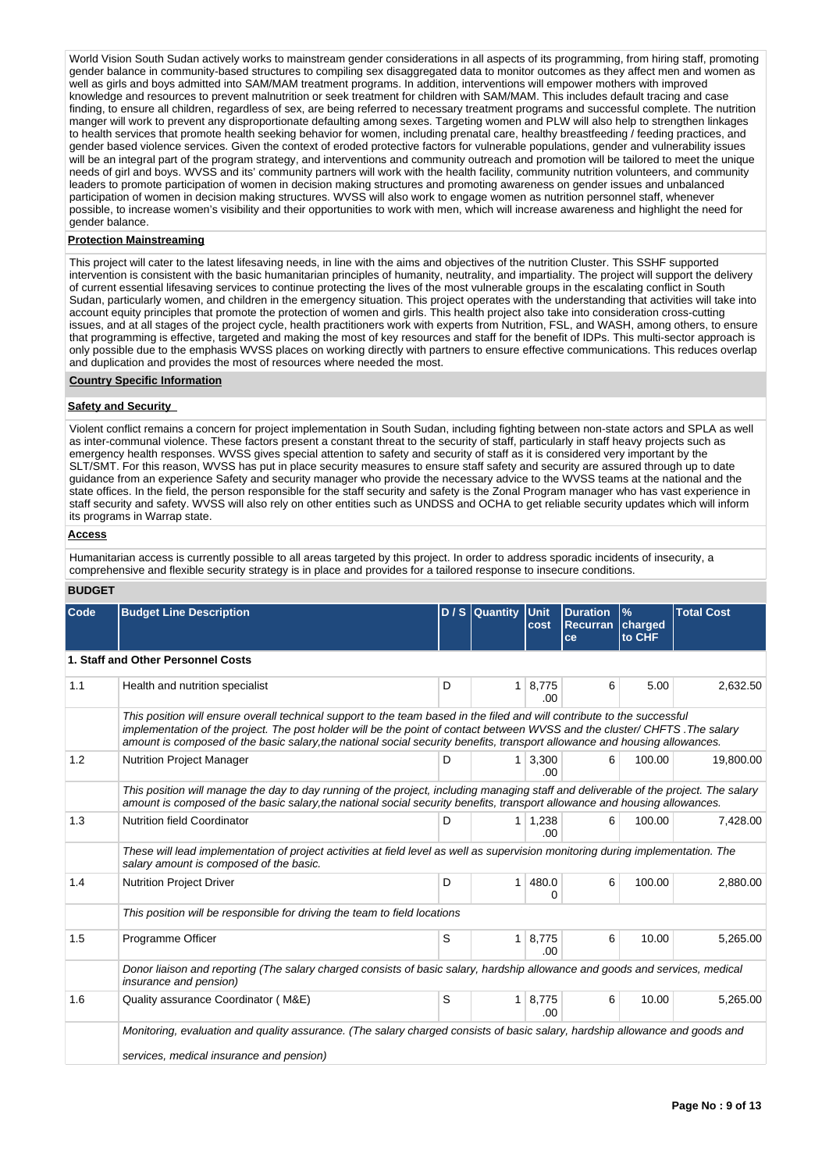World Vision South Sudan actively works to mainstream gender considerations in all aspects of its programming, from hiring staff, promoting gender balance in community-based structures to compiling sex disaggregated data to monitor outcomes as they affect men and women as well as girls and boys admitted into SAM/MAM treatment programs. In addition, interventions will empower mothers with improved knowledge and resources to prevent malnutrition or seek treatment for children with SAM/MAM. This includes default tracing and case finding, to ensure all children, regardless of sex, are being referred to necessary treatment programs and successful complete. The nutrition manger will work to prevent any disproportionate defaulting among sexes. Targeting women and PLW will also help to strengthen linkages to health services that promote health seeking behavior for women, including prenatal care, healthy breastfeeding / feeding practices, and gender based violence services. Given the context of eroded protective factors for vulnerable populations, gender and vulnerability issues will be an integral part of the program strategy, and interventions and community outreach and promotion will be tailored to meet the unique needs of girl and boys. WVSS and its' community partners will work with the health facility, community nutrition volunteers, and community leaders to promote participation of women in decision making structures and promoting awareness on gender issues and unbalanced participation of women in decision making structures. WVSS will also work to engage women as nutrition personnel staff, whenever possible, to increase women's visibility and their opportunities to work with men, which will increase awareness and highlight the need for gender balance.

### **Protection Mainstreaming**

This project will cater to the latest lifesaving needs, in line with the aims and objectives of the nutrition Cluster. This SSHF supported intervention is consistent with the basic humanitarian principles of humanity, neutrality, and impartiality. The project will support the delivery of current essential lifesaving services to continue protecting the lives of the most vulnerable groups in the escalating conflict in South Sudan, particularly women, and children in the emergency situation. This project operates with the understanding that activities will take into account equity principles that promote the protection of women and girls. This health project also take into consideration cross-cutting issues, and at all stages of the project cycle, health practitioners work with experts from Nutrition, FSL, and WASH, among others, to ensure that programming is effective, targeted and making the most of key resources and staff for the benefit of IDPs. This multi-sector approach is only possible due to the emphasis WVSS places on working directly with partners to ensure effective communications. This reduces overlap and duplication and provides the most of resources where needed the most.

#### **Country Specific Information**

### **Safety and Security**

Violent conflict remains a concern for project implementation in South Sudan, including fighting between non-state actors and SPLA as well as inter-communal violence. These factors present a constant threat to the security of staff, particularly in staff heavy projects such as emergency health responses. WVSS gives special attention to safety and security of staff as it is considered very important by the SLT/SMT. For this reason, WVSS has put in place security measures to ensure staff safety and security are assured through up to date guidance from an experience Safety and security manager who provide the necessary advice to the WVSS teams at the national and the state offices. In the field, the person responsible for the staff security and safety is the Zonal Program manager who has vast experience in staff security and safety. WVSS will also rely on other entities such as UNDSS and OCHA to get reliable security updates which will inform its programs in Warrap state.

### **Access**

Humanitarian access is currently possible to all areas targeted by this project. In order to address sporadic incidents of insecurity, a comprehensive and flexible security strategy is in place and provides for a tailored response to insecure conditions.

### **BUDGET**

| Code | <b>Budget Line Description</b>                                                                                                                                                                                                                                                                                                                                                        |   | D / S Quantity | Unit<br>cost          | <b>Duration</b><br><b>Recurran</b><br>ce | $\frac{9}{6}$<br>charged<br>to CHF | <b>Total Cost</b> |
|------|---------------------------------------------------------------------------------------------------------------------------------------------------------------------------------------------------------------------------------------------------------------------------------------------------------------------------------------------------------------------------------------|---|----------------|-----------------------|------------------------------------------|------------------------------------|-------------------|
|      | 1. Staff and Other Personnel Costs                                                                                                                                                                                                                                                                                                                                                    |   |                |                       |                                          |                                    |                   |
| 1.1  | Health and nutrition specialist                                                                                                                                                                                                                                                                                                                                                       | D | 1              | 8,775<br>.00          | 6                                        | 5.00                               | 2,632.50          |
|      | This position will ensure overall technical support to the team based in the filed and will contribute to the successful<br>implementation of the project. The post holder will be the point of contact between WVSS and the cluster/ CHFTS. The salary<br>amount is composed of the basic salary, the national social security benefits, transport allowance and housing allowances. |   |                |                       |                                          |                                    |                   |
| 1.2  | <b>Nutrition Project Manager</b>                                                                                                                                                                                                                                                                                                                                                      | D | 1 <sup>1</sup> | 3.300<br>.00          | 6                                        | 100.00                             | 19.800.00         |
|      | This position will manage the day to day running of the project, including managing staff and deliverable of the project. The salary<br>amount is composed of the basic salary, the national social security benefits, transport allowance and housing allowances.                                                                                                                    |   |                |                       |                                          |                                    |                   |
| 1.3  | <b>Nutrition field Coordinator</b>                                                                                                                                                                                                                                                                                                                                                    | D |                | $1 \mid 1,238$<br>.00 | 6                                        | 100.00                             | 7,428.00          |
|      | These will lead implementation of project activities at field level as well as supervision monitoring during implementation. The<br>salary amount is composed of the basic.                                                                                                                                                                                                           |   |                |                       |                                          |                                    |                   |
| 1.4  | <b>Nutrition Project Driver</b>                                                                                                                                                                                                                                                                                                                                                       | D | $\mathbf{1}$   | 480.0<br>0            | 6                                        | 100.00                             | 2,880.00          |
|      | This position will be responsible for driving the team to field locations                                                                                                                                                                                                                                                                                                             |   |                |                       |                                          |                                    |                   |
| 1.5  | Programme Officer                                                                                                                                                                                                                                                                                                                                                                     | S | $\mathbf{1}$   | 8,775<br>.00          | 6                                        | 10.00                              | 5,265.00          |
|      | Donor liaison and reporting (The salary charged consists of basic salary, hardship allowance and goods and services, medical<br>insurance and pension)                                                                                                                                                                                                                                |   |                |                       |                                          |                                    |                   |
| 1.6  | Quality assurance Coordinator (M&E)                                                                                                                                                                                                                                                                                                                                                   | S | $\mathbf{1}$   | 8,775<br>.00          | 6                                        | 10.00                              | 5,265.00          |
|      | Monitoring, evaluation and quality assurance. (The salary charged consists of basic salary, hardship allowance and goods and<br>services, medical insurance and pension)                                                                                                                                                                                                              |   |                |                       |                                          |                                    |                   |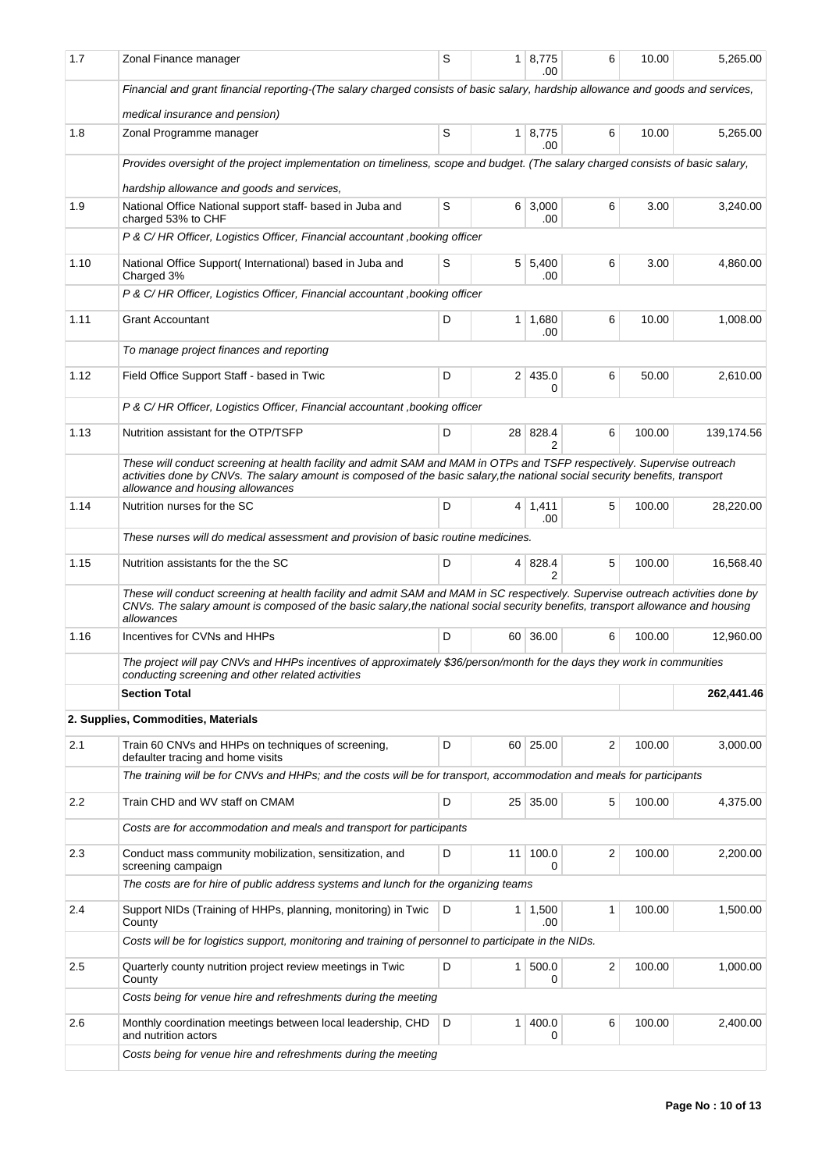| 1.7  | Zonal Finance manager                                                                                                                                                                                                                                                                       | S | 1 <sup>1</sup> | 8,775<br>.00          | 6 | 10.00  | 5,265.00   |
|------|---------------------------------------------------------------------------------------------------------------------------------------------------------------------------------------------------------------------------------------------------------------------------------------------|---|----------------|-----------------------|---|--------|------------|
|      | Financial and grant financial reporting-(The salary charged consists of basic salary, hardship allowance and goods and services,                                                                                                                                                            |   |                |                       |   |        |            |
|      | medical insurance and pension)                                                                                                                                                                                                                                                              |   |                |                       |   |        |            |
| 1.8  | Zonal Programme manager                                                                                                                                                                                                                                                                     | S | 1 <sup>1</sup> | 8,775<br>.00          | 6 | 10.00  | 5,265.00   |
|      | Provides oversight of the project implementation on timeliness, scope and budget. (The salary charged consists of basic salary,                                                                                                                                                             |   |                |                       |   |        |            |
|      | hardship allowance and goods and services,                                                                                                                                                                                                                                                  |   |                |                       |   |        |            |
| 1.9  | National Office National support staff- based in Juba and<br>charged 53% to CHF                                                                                                                                                                                                             | S |                | $6 \mid 3,000$<br>.00 | 6 | 3.00   | 3,240.00   |
|      | P & C/HR Officer, Logistics Officer, Financial accountant, booking officer                                                                                                                                                                                                                  |   |                |                       |   |        |            |
| 1.10 | National Office Support(International) based in Juba and<br>Charged 3%                                                                                                                                                                                                                      | S | 5 <sup>1</sup> | 5,400<br>.00          | 6 | 3.00   | 4,860.00   |
|      | P & C/HR Officer, Logistics Officer, Financial accountant, booking officer                                                                                                                                                                                                                  |   |                |                       |   |        |            |
| 1.11 | <b>Grant Accountant</b>                                                                                                                                                                                                                                                                     | D | 1              | 1,680<br>.00          | 6 | 10.00  | 1,008.00   |
|      | To manage project finances and reporting                                                                                                                                                                                                                                                    |   |                |                       |   |        |            |
| 1.12 | Field Office Support Staff - based in Twic                                                                                                                                                                                                                                                  | D | 2 <sup>1</sup> | 435.0<br>0            | 6 | 50.00  | 2,610.00   |
|      | P & C/HR Officer, Logistics Officer, Financial accountant, booking officer                                                                                                                                                                                                                  |   |                |                       |   |        |            |
| 1.13 | Nutrition assistant for the OTP/TSFP                                                                                                                                                                                                                                                        | D | 28             | 828.4<br>2            | 6 | 100.00 | 139,174.56 |
|      | These will conduct screening at health facility and admit SAM and MAM in OTPs and TSFP respectively. Supervise outreach<br>activities done by CNVs. The salary amount is composed of the basic salary, the national social security benefits, transport<br>allowance and housing allowances |   |                |                       |   |        |            |
| 1.14 | Nutrition nurses for the SC                                                                                                                                                                                                                                                                 | D |                | $4 \mid 1,411$<br>.00 | 5 | 100.00 | 28,220.00  |
|      | These nurses will do medical assessment and provision of basic routine medicines.                                                                                                                                                                                                           |   |                |                       |   |        |            |
| 1.15 | Nutrition assistants for the the SC                                                                                                                                                                                                                                                         | D | $\overline{4}$ | 828.4<br>2            | 5 | 100.00 | 16,568.40  |
|      | These will conduct screening at health facility and admit SAM and MAM in SC respectively. Supervise outreach activities done by<br>CNVs. The salary amount is composed of the basic salary, the national social security benefits, transport allowance and housing<br>allowances            |   |                |                       |   |        |            |
| 1.16 | Incentives for CVNs and HHPs                                                                                                                                                                                                                                                                | D |                | 60 36.00              | 6 | 100.00 | 12,960.00  |
|      | The project will pay CNVs and HHPs incentives of approximately \$36/person/month for the days they work in communities<br>conducting screening and other related activities                                                                                                                 |   |                |                       |   |        |            |
|      | <b>Section Total</b>                                                                                                                                                                                                                                                                        |   |                |                       |   |        | 262,441.46 |
|      | 2. Supplies, Commodities, Materials                                                                                                                                                                                                                                                         |   |                |                       |   |        |            |
| 2.1  | Train 60 CNVs and HHPs on techniques of screening,<br>defaulter tracing and home visits                                                                                                                                                                                                     | D | $60-1$         | 25.00                 | 2 | 100.00 | 3,000.00   |
|      | The training will be for CNVs and HHPs; and the costs will be for transport, accommodation and meals for participants                                                                                                                                                                       |   |                |                       |   |        |            |
| 2.2  | Train CHD and WV staff on CMAM                                                                                                                                                                                                                                                              | D |                | 25 35.00              | 5 | 100.00 | 4,375.00   |
|      | Costs are for accommodation and meals and transport for participants                                                                                                                                                                                                                        |   |                |                       |   |        |            |
| 2.3  | Conduct mass community mobilization, sensitization, and<br>screening campaign                                                                                                                                                                                                               | D | 11             | 100.0<br>0            | 2 | 100.00 | 2,200.00   |
|      | The costs are for hire of public address systems and lunch for the organizing teams                                                                                                                                                                                                         |   |                |                       |   |        |            |
| 2.4  | Support NIDs (Training of HHPs, planning, monitoring) in Twic<br>County                                                                                                                                                                                                                     | D |                | $1 \mid 1,500$<br>.00 | 1 | 100.00 | 1,500.00   |
|      | Costs will be for logistics support, monitoring and training of personnel to participate in the NIDs.                                                                                                                                                                                       |   |                |                       |   |        |            |
| 2.5  | Quarterly county nutrition project review meetings in Twic<br>County                                                                                                                                                                                                                        | D | $\mathbf{1}$   | 500.0<br>0            | 2 | 100.00 | 1,000.00   |
|      | Costs being for venue hire and refreshments during the meeting                                                                                                                                                                                                                              |   |                |                       |   |        |            |
| 2.6  | Monthly coordination meetings between local leadership, CHD<br>and nutrition actors                                                                                                                                                                                                         | D | $\mathbf{1}$   | 400.0<br>0            | 6 | 100.00 | 2,400.00   |
|      | Costs being for venue hire and refreshments during the meeting                                                                                                                                                                                                                              |   |                |                       |   |        |            |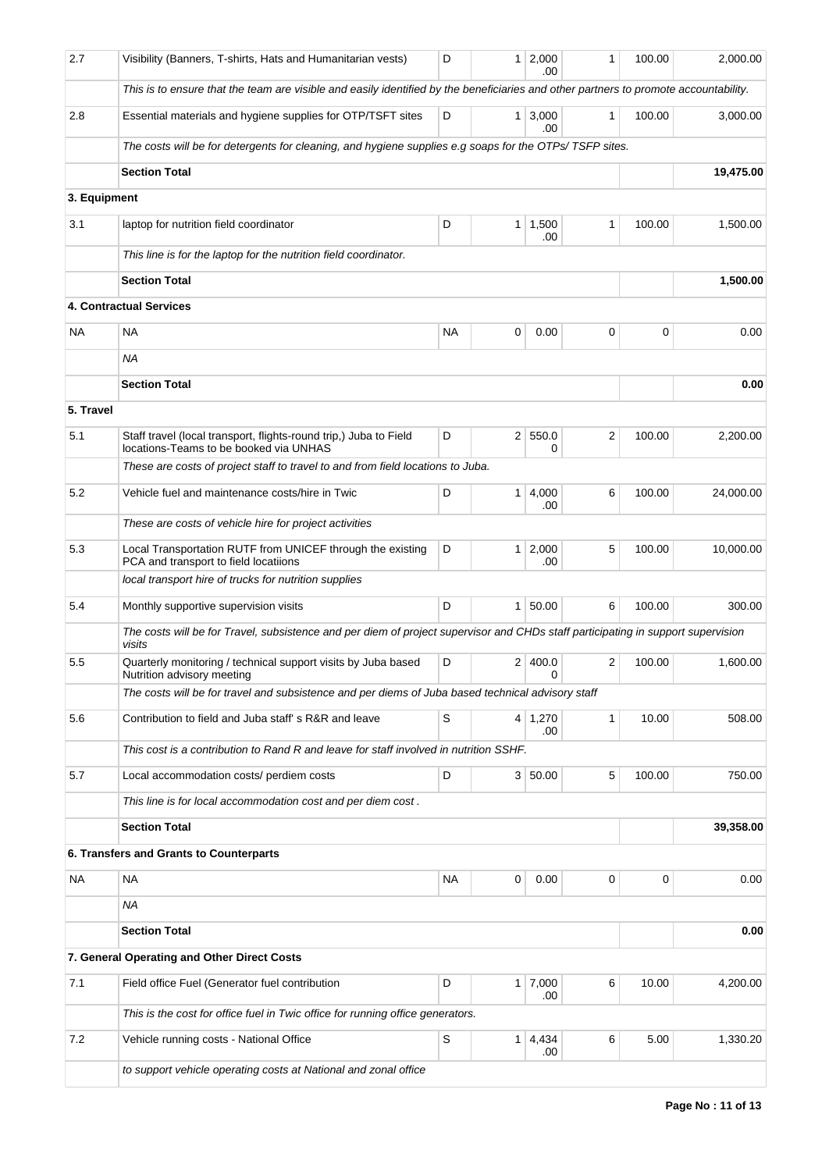| 2.7          | Visibility (Banners, T-shirts, Hats and Humanitarian vests)                                                                                | D      | 1 <sup>1</sup>                 | 2,000<br>.00   | 1              | 100.00 | 2,000.00  |  |  |
|--------------|--------------------------------------------------------------------------------------------------------------------------------------------|--------|--------------------------------|----------------|----------------|--------|-----------|--|--|
|              | This is to ensure that the team are visible and easily identified by the beneficiaries and other partners to promote accountability.       |        |                                |                |                |        |           |  |  |
| 2.8          | Essential materials and hygiene supplies for OTP/TSFT sites                                                                                | D      | 3,000<br>1 <sup>1</sup><br>.00 |                | 1              | 100.00 | 3,000.00  |  |  |
|              | The costs will be for detergents for cleaning, and hygiene supplies e.g soaps for the OTPs/TSFP sites.                                     |        |                                |                |                |        |           |  |  |
|              | <b>Section Total</b>                                                                                                                       |        |                                |                |                |        | 19,475.00 |  |  |
| 3. Equipment |                                                                                                                                            |        |                                |                |                |        |           |  |  |
| 3.1          | laptop for nutrition field coordinator                                                                                                     | 100.00 | 1,500.00                       |                |                |        |           |  |  |
|              | This line is for the laptop for the nutrition field coordinator.                                                                           |        |                                |                |                |        |           |  |  |
|              | <b>Section Total</b>                                                                                                                       |        | 1,500.00                       |                |                |        |           |  |  |
|              | <b>4. Contractual Services</b>                                                                                                             |        |                                |                |                |        |           |  |  |
| NA.          | <b>NA</b>                                                                                                                                  | NA     | 0                              | 0.00           | 0              | 0      | 0.00      |  |  |
|              | <b>NA</b>                                                                                                                                  |        |                                |                |                |        |           |  |  |
|              | <b>Section Total</b>                                                                                                                       |        | 0.00                           |                |                |        |           |  |  |
| 5. Travel    |                                                                                                                                            |        |                                |                |                |        |           |  |  |
| 5.1          | Staff travel (local transport, flights-round trip,) Juba to Field<br>locations-Teams to be booked via UNHAS                                | D      |                                | 2   550.0<br>0 | $\overline{c}$ | 100.00 | 2,200.00  |  |  |
|              | These are costs of project staff to travel to and from field locations to Juba.                                                            |        |                                |                |                |        |           |  |  |
| 5.2          | Vehicle fuel and maintenance costs/hire in Twic                                                                                            | D      | 1                              | 4,000<br>.00   | 6              | 100.00 | 24,000.00 |  |  |
|              | These are costs of vehicle hire for project activities                                                                                     |        |                                |                |                |        |           |  |  |
| 5.3          | Local Transportation RUTF from UNICEF through the existing<br>PCA and transport to field locatiions                                        | D      | 1                              | 2,000<br>.00   | 5              | 100.00 | 10,000.00 |  |  |
|              | local transport hire of trucks for nutrition supplies                                                                                      |        |                                |                |                |        |           |  |  |
| 5.4          | Monthly supportive supervision visits                                                                                                      | D      | 1                              | 50.00          | 6              | 100.00 | 300.00    |  |  |
|              | The costs will be for Travel, subsistence and per diem of project supervisor and CHDs staff participating in support supervision<br>visits |        |                                |                |                |        |           |  |  |
| 5.5          | Quarterly monitoring / technical support visits by Juba based<br>Nutrition advisory meeting                                                | D      |                                | 2 400.0        | 2              | 100.00 | 1,600.00  |  |  |
|              | The costs will be for travel and subsistence and per diems of Juba based technical advisory staff                                          |        |                                |                |                |        |           |  |  |
| 5.6          | Contribution to field and Juba staff's R&R and leave                                                                                       | S      |                                | 4 1,270<br>.00 | $\mathbf{1}$   | 10.00  | 508.00    |  |  |
|              | This cost is a contribution to Rand R and leave for staff involved in nutrition SSHF.                                                      |        |                                |                |                |        |           |  |  |
| 5.7          | Local accommodation costs/ perdiem costs                                                                                                   | D      |                                | 3   50.00      | 5              | 100.00 | 750.00    |  |  |
|              | This line is for local accommodation cost and per diem cost.                                                                               |        |                                |                |                |        |           |  |  |
|              | <b>Section Total</b>                                                                                                                       |        | 39,358.00                      |                |                |        |           |  |  |
|              | 6. Transfers and Grants to Counterparts                                                                                                    |        |                                |                |                |        |           |  |  |
| NA           | <b>NA</b>                                                                                                                                  | NA     | 0                              | 0.00           | 0              | 0      | 0.00      |  |  |
|              | <b>NA</b>                                                                                                                                  |        |                                |                |                |        |           |  |  |
|              | <b>Section Total</b>                                                                                                                       |        |                                | 0.00           |                |        |           |  |  |
|              | 7. General Operating and Other Direct Costs                                                                                                |        |                                |                |                |        |           |  |  |
| 7.1          | Field office Fuel (Generator fuel contribution                                                                                             | D      | 1                              | 7,000<br>.00   | 6              | 10.00  | 4,200.00  |  |  |
|              | This is the cost for office fuel in Twic office for running office generators.                                                             |        |                                |                |                |        |           |  |  |
| 7.2          | Vehicle running costs - National Office                                                                                                    | S      | $\mathbf{1}$                   | 4,434<br>.00   | 6              | 5.00   | 1,330.20  |  |  |
|              | to support vehicle operating costs at National and zonal office                                                                            |        |                                |                |                |        |           |  |  |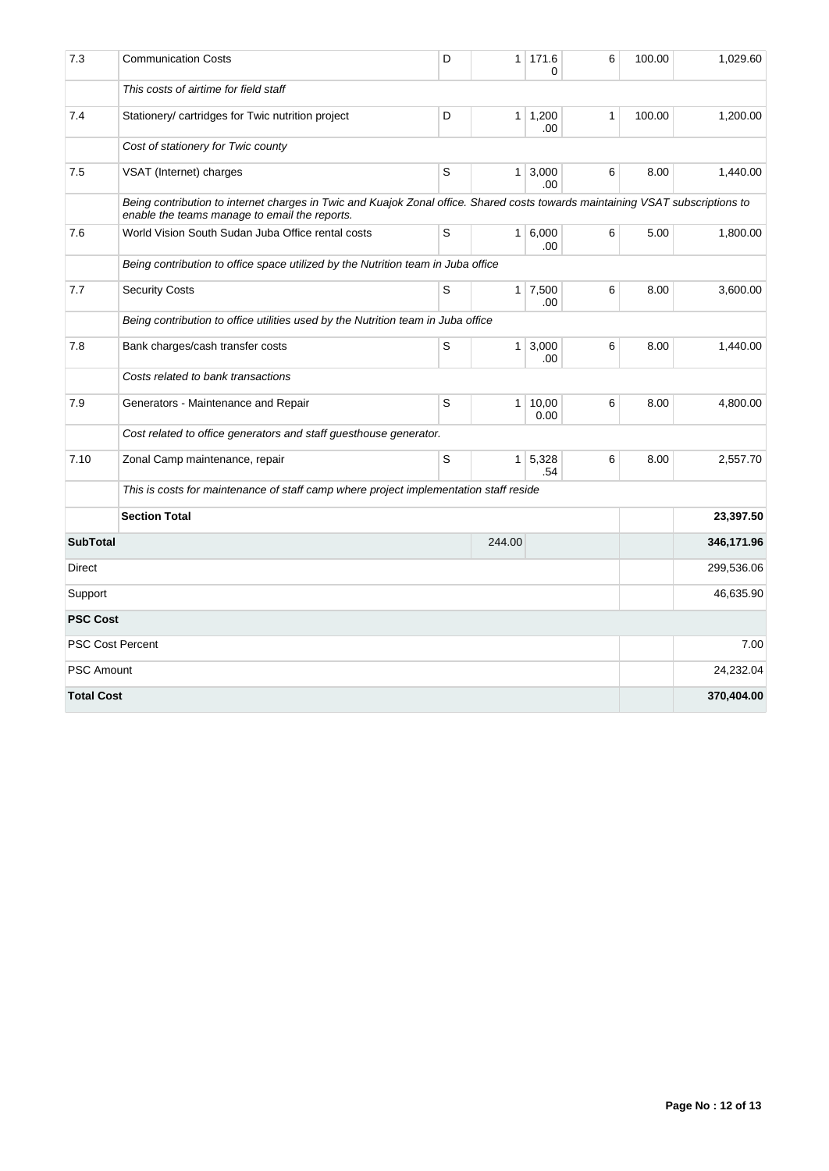| 7.3                       | <b>Communication Costs</b>                                                                                                                                                      | D         | $\mathbf{1}$   | 171.6<br>$\Omega$        | 6            | 100.00 | 1,029.60   |
|---------------------------|---------------------------------------------------------------------------------------------------------------------------------------------------------------------------------|-----------|----------------|--------------------------|--------------|--------|------------|
|                           | This costs of airtime for field staff                                                                                                                                           |           |                |                          |              |        |            |
| 7.4                       | Stationery/ cartridges for Twic nutrition project                                                                                                                               | D         |                | $1 \mid 1,200$<br>.00    | $\mathbf{1}$ | 100.00 | 1,200.00   |
|                           | Cost of stationery for Twic county                                                                                                                                              |           |                |                          |              |        |            |
| 7.5                       | VSAT (Internet) charges                                                                                                                                                         | S         |                | $1 \,   \, 3,000$<br>.00 | 6            | 8.00   | 1,440.00   |
|                           | Being contribution to internet charges in Twic and Kuajok Zonal office. Shared costs towards maintaining VSAT subscriptions to<br>enable the teams manage to email the reports. |           |                |                          |              |        |            |
| 7.6                       | World Vision South Sudan Juba Office rental costs                                                                                                                               | S         |                | 1   6,000<br>.00         | 6            | 5.00   | 1,800.00   |
|                           | Being contribution to office space utilized by the Nutrition team in Juba office                                                                                                |           |                |                          |              |        |            |
| 7.7                       | <b>Security Costs</b>                                                                                                                                                           | S         |                | $1 \mid 7,500$<br>.00    | 6            | 8.00   | 3,600.00   |
|                           | Being contribution to office utilities used by the Nutrition team in Juba office                                                                                                |           |                |                          |              |        |            |
| 7.8                       | Bank charges/cash transfer costs                                                                                                                                                | S         | 1 <sup>1</sup> | 3,000<br>.00             | 6            | 8.00   | 1,440.00   |
|                           | Costs related to bank transactions                                                                                                                                              |           |                |                          |              |        |            |
| 7.9                       | Generators - Maintenance and Repair                                                                                                                                             | S         |                | 1   10,00<br>0.00        | 6            | 8.00   | 4,800.00   |
|                           | Cost related to office generators and staff guesthouse generator.                                                                                                               |           |                |                          |              |        |            |
| 7.10                      | Zonal Camp maintenance, repair                                                                                                                                                  | S         | $\mathbf{1}$   | 5,328<br>.54             | 6            | 8.00   | 2,557.70   |
|                           | This is costs for maintenance of staff camp where project implementation staff reside                                                                                           |           |                |                          |              |        |            |
|                           | <b>Section Total</b>                                                                                                                                                            |           | 23,397.50      |                          |              |        |            |
| <b>SubTotal</b><br>244.00 |                                                                                                                                                                                 |           |                |                          |              |        | 346,171.96 |
| Direct                    |                                                                                                                                                                                 |           |                |                          |              |        | 299,536.06 |
| Support                   |                                                                                                                                                                                 | 46,635.90 |                |                          |              |        |            |
| <b>PSC Cost</b>           |                                                                                                                                                                                 |           |                |                          |              |        |            |
|                           | <b>PSC Cost Percent</b>                                                                                                                                                         |           |                |                          |              |        | 7.00       |
| <b>PSC Amount</b>         |                                                                                                                                                                                 |           |                |                          |              |        | 24,232.04  |
| <b>Total Cost</b>         |                                                                                                                                                                                 |           |                |                          |              |        | 370,404.00 |